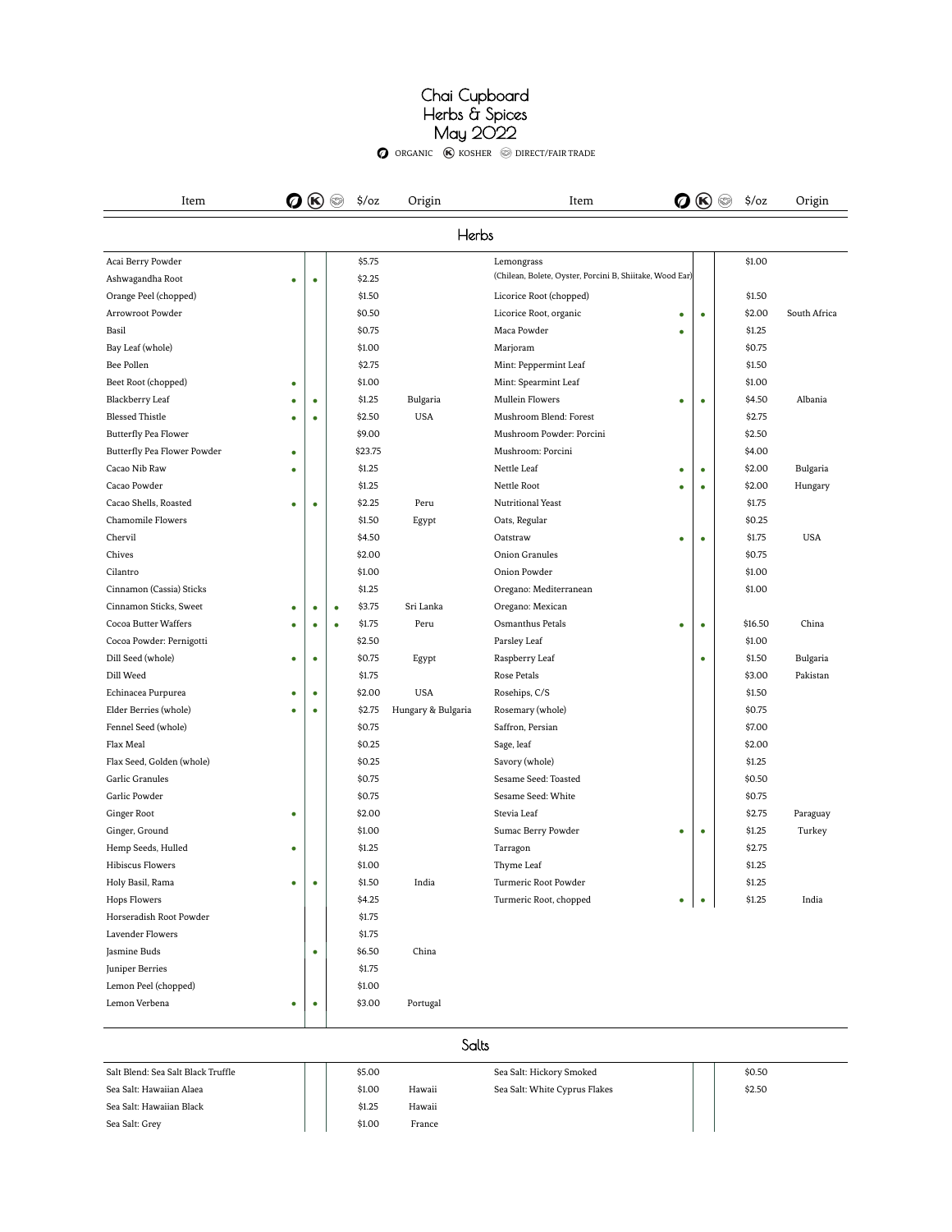#### Chai Cupboard Herbs & Spices May 2022

 $\bullet$  organic  $\bullet$  kosher  $\circledast$  direct/fair trade

| Item                        | Ø | $\circledR$ |           | $\frac{1}{2}$ /0Z | Origin             | Item                                                     |           | Q ® ◎ | $\frac{2}{3}$ /oz | Origin       |
|-----------------------------|---|-------------|-----------|-------------------|--------------------|----------------------------------------------------------|-----------|-------|-------------------|--------------|
|                             |   |             |           |                   | Herbs              |                                                          |           |       |                   |              |
| Acai Berry Powder           |   |             |           | \$5.75            |                    | Lemongrass                                               |           |       | \$1.00            |              |
| Ashwagandha Root            | ٠ | ٠           |           | \$2.25            |                    | (Chilean, Bolete, Oyster, Porcini B, Shiitake, Wood Ear) |           |       |                   |              |
| Orange Peel (chopped)       |   |             |           | \$1.50            |                    | Licorice Root (chopped)                                  |           |       | \$1.50            |              |
| Arrowroot Powder            |   |             |           | \$0.50            |                    | Licorice Root, organic                                   | ٠         | ٠     | \$2.00            | South Africa |
| Basil                       |   |             |           | \$0.75            |                    | Maca Powder                                              | ٠         |       | \$1.25            |              |
| Bay Leaf (whole)            |   |             |           | \$1.00            |                    | Marjoram                                                 |           |       | \$0.75            |              |
| Bee Pollen                  |   |             |           | \$2.75            |                    | Mint: Peppermint Leaf                                    |           |       | \$1.50            |              |
| Beet Root (chopped)         | ٠ |             |           | \$1.00            |                    | Mint: Spearmint Leaf                                     |           |       | \$1.00            |              |
| Blackberry Leaf             |   | ٠           |           | \$1.25            | Bulgaria           | Mullein Flowers                                          | ė         |       | \$4.50            | Albania      |
| <b>Blessed Thistle</b>      | ٠ | ٠           |           | \$2.50            | <b>USA</b>         | Mushroom Blend: Forest                                   |           |       | \$2.75            |              |
| <b>Butterfly Pea Flower</b> |   |             |           | \$9.00            |                    | Mushroom Powder: Porcini                                 |           |       | \$2.50            |              |
| Butterfly Pea Flower Powder | ٠ |             |           | \$23.75           |                    | Mushroom: Porcini                                        |           |       | \$4.00            |              |
| Cacao Nib Raw               | ٠ |             |           | \$1.25            |                    | Nettle Leaf                                              | $\bullet$ | ۰     | \$2.00            | Bulgaria     |
| Cacao Powder                |   |             |           | \$1.25            |                    | Nettle Root                                              | ė         |       | \$2.00            | Hungary      |
| Cacao Shells, Roasted       | ٠ | ٠           |           | \$2.25            | Peru               | Nutritional Yeast                                        |           |       | \$1.75            |              |
| Chamomile Flowers           |   |             |           | \$1.50            | Egypt              | Oats, Regular                                            |           |       | \$0.25            |              |
| Chervil                     |   |             |           | \$4.50            |                    | Oatstraw                                                 | ٠         | ٠     | \$1.75            | <b>USA</b>   |
| Chives                      |   |             |           | \$2.00            |                    | Onion Granules                                           |           |       | \$0.75            |              |
| Cilantro                    |   |             |           | \$1.00            |                    | Onion Powder                                             |           |       | \$1.00            |              |
| Cinnamon (Cassia) Sticks    |   |             |           | \$1.25            |                    | Oregano: Mediterranean                                   |           |       | \$1.00            |              |
| Cinnamon Sticks, Sweet      | ٠ | $\bullet$   | $\bullet$ | \$3.75            | Sri Lanka          | Oregano: Mexican                                         |           |       |                   |              |
| Cocoa Butter Waffers        | ٠ | $\bullet$   | $\bullet$ | \$1.75            | Peru               | Osmanthus Petals                                         | ٠         | ٠     | \$16.50           | China        |
| Cocoa Powder: Pernigotti    |   |             |           | \$2.50            |                    | Parsley Leaf                                             |           |       | \$1.00            |              |
| Dill Seed (whole)           | ٠ | ٠           |           | \$0.75            | Egypt              | Raspberry Leaf                                           |           | ٠     | \$1.50            | Bulgaria     |
| Dill Weed                   |   |             |           | \$1.75            |                    | Rose Petals                                              |           |       | \$3.00            | Pakistan     |
| Echinacea Purpurea          | ٠ | $\bullet$   |           | \$2.00            | <b>USA</b>         | Rosehips, C/S                                            |           |       | \$1.50            |              |
| Elder Berries (whole)       | ٠ | ٠           |           | \$2.75            | Hungary & Bulgaria | Rosemary (whole)                                         |           |       | \$0.75            |              |
| Fennel Seed (whole)         |   |             |           | \$0.75            |                    | Saffron, Persian                                         |           |       | \$7.00            |              |
| Flax Meal                   |   |             |           | \$0.25            |                    | Sage, leaf                                               |           |       | \$2.00            |              |
| Flax Seed, Golden (whole)   |   |             |           | \$0.25            |                    | Savory (whole)                                           |           |       | \$1.25            |              |
| Garlic Granules             |   |             |           | \$0.75            |                    | Sesame Seed: Toasted                                     |           |       | \$0.50            |              |
| Garlic Powder               |   |             |           | \$0.75            |                    | Sesame Seed: White                                       |           |       | \$0.75            |              |
| Ginger Root                 | ٠ |             |           | \$2.00            |                    | Stevia Leaf                                              |           |       | \$2.75            | Paraguay     |
| Ginger, Ground              |   |             |           | \$1.00            |                    | Sumac Berry Powder                                       | ٠         | ٠     | \$1.25            | Turkey       |
| Hemp Seeds, Hulled          | ٠ |             |           | \$1.25            |                    | Tarragon                                                 |           |       | \$2.75            |              |
| <b>Hibiscus Flowers</b>     |   |             |           | \$1.00            |                    | Thyme Leaf                                               |           |       | \$1.25            |              |
| Holy Basil, Rama            | ٠ | ٠           |           | \$1.50            | India              | Turmeric Root Powder                                     |           |       | \$1.25            |              |
| <b>Hops Flowers</b>         |   |             |           | \$4.25            |                    | Turmeric Root, chopped                                   | ٠         | ٠     | \$1.25            | India        |

Salts

 $$4.25$   $$\rm{Turneric}$   ${\rm Root},$  chopped  $$1.75$ 

\$6.50 China

\$3.00 Portugal

Jasmine Buds •

Lemon Verbena • •

Lavender Flowers \$1.75

Juniper Berries \$1.75 Lemon Peel (chopped) \$1.00

Horseradish Root Powder

| Salt Blend: Sea Salt Black Truffle | \$5.00 |        | Sea Salt: Hickory Smoked      | \$0.50 |  |
|------------------------------------|--------|--------|-------------------------------|--------|--|
| Sea Salt: Hawaiian Alaea           | \$1.00 | Hawaii | Sea Salt: White Cyprus Flakes | \$2.50 |  |
| Sea Salt: Hawaiian Black           | \$1.25 | Hawaii |                               |        |  |
| Sea Salt: Grey                     | \$1.00 | France |                               |        |  |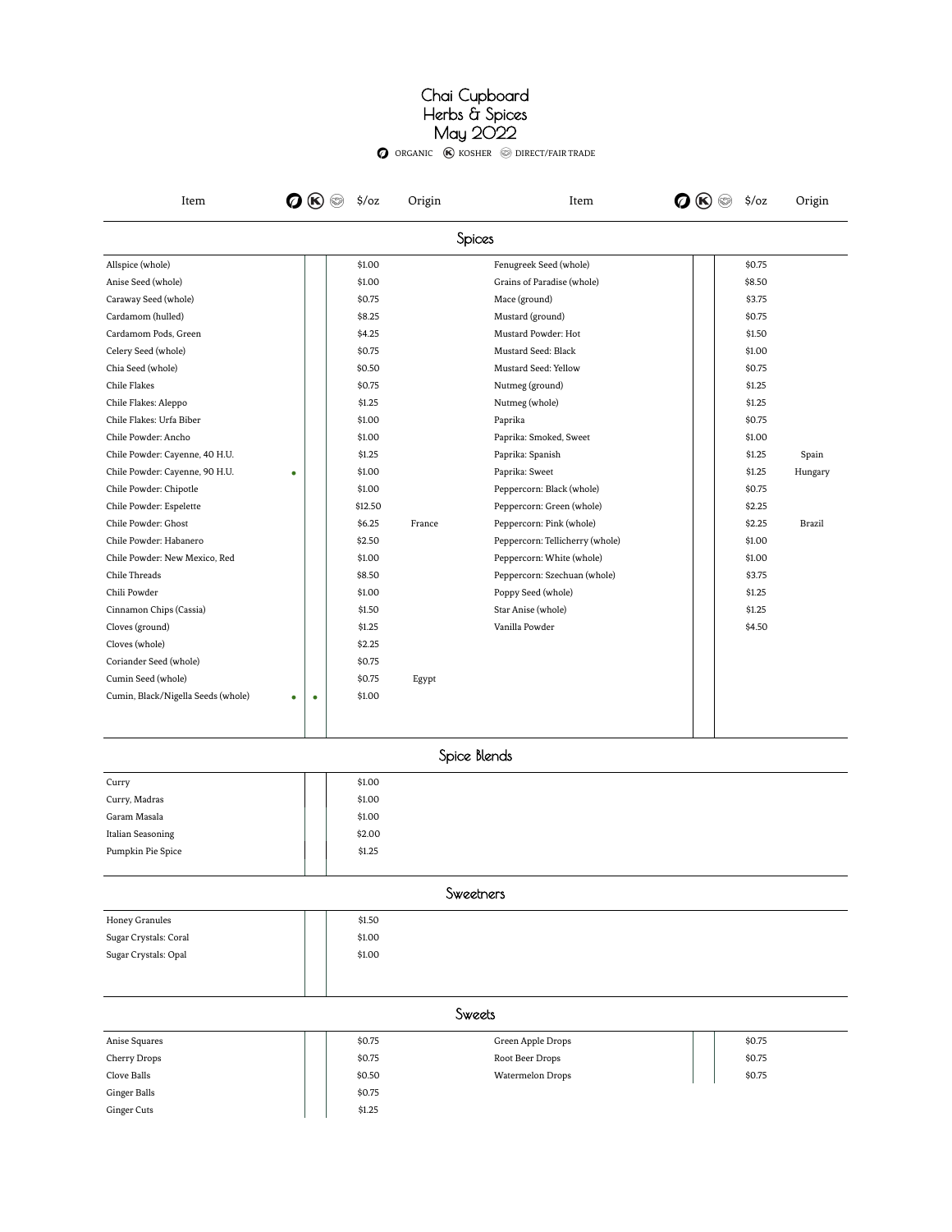#### Chai Cupboard Herbs & Spices May 2022

ORGANIC (K) KOSHER © DIRECT/FAIR TRADE

| Item                               | Ø | (K) | $\frac{1}{2}$ /oz | Origin | Item                            | $(\mathbf{K})$ | $\frac{2}{3}$ /oz | Origin        |
|------------------------------------|---|-----|-------------------|--------|---------------------------------|----------------|-------------------|---------------|
|                                    |   |     |                   |        | Spices                          |                |                   |               |
| Allspice (whole)                   |   |     | \$1.00            |        | Fenugreek Seed (whole)          |                | \$0.75            |               |
| Anise Seed (whole)                 |   |     | \$1.00            |        | Grains of Paradise (whole)      |                | \$8.50            |               |
| Caraway Seed (whole)               |   |     | \$0.75            |        | Mace (ground)                   |                | \$3.75            |               |
| Cardamom (hulled)                  |   |     | \$8.25            |        | Mustard (ground)                |                | \$0.75            |               |
| Cardamom Pods, Green               |   |     | \$4.25            |        | Mustard Powder: Hot             |                | \$1.50            |               |
| Celery Seed (whole)                |   |     | \$0.75            |        | Mustard Seed: Black             |                | \$1.00            |               |
| Chia Seed (whole)                  |   |     | \$0.50            |        | Mustard Seed: Yellow            |                | \$0.75            |               |
| Chile Flakes                       |   |     | \$0.75            |        | Nutmeg (ground)                 |                | \$1.25            |               |
| Chile Flakes: Aleppo               |   |     | \$1.25            |        | Nutmeg (whole)                  |                | \$1.25            |               |
| Chile Flakes: Urfa Biber           |   |     | \$1.00            |        | Paprika                         |                | \$0.75            |               |
| Chile Powder: Ancho                |   |     | \$1.00            |        | Paprika: Smoked, Sweet          |                | \$1.00            |               |
| Chile Powder: Cayenne, 40 H.U.     |   |     | \$1.25            |        | Paprika: Spanish                |                | \$1.25            | Spain         |
| Chile Powder: Cayenne, 90 H.U.     | ٠ |     | \$1.00            |        | Paprika: Sweet                  |                | \$1.25            | Hungary       |
| Chile Powder: Chipotle             |   |     | \$1.00            |        | Peppercorn: Black (whole)       |                | \$0.75            |               |
| Chile Powder: Espelette            |   |     | \$12.50           |        | Peppercorn: Green (whole)       |                | \$2.25            |               |
| Chile Powder: Ghost                |   |     | \$6.25            | France | Peppercorn: Pink (whole)        |                | \$2.25            | <b>Brazil</b> |
| Chile Powder: Habanero             |   |     | \$2.50            |        | Peppercorn: Tellicherry (whole) |                | \$1.00            |               |
| Chile Powder: New Mexico, Red      |   |     | \$1.00            |        | Peppercorn: White (whole)       |                | \$1.00            |               |
| Chile Threads                      |   |     | \$8.50            |        | Peppercorn: Szechuan (whole)    |                | \$3.75            |               |
| Chili Powder                       |   |     | \$1.00            |        | Poppy Seed (whole)              |                | \$1.25            |               |
| Cinnamon Chips (Cassia)            |   |     | \$1.50            |        | Star Anise (whole)              |                | \$1.25            |               |
| Cloves (ground)                    |   |     | \$1.25            |        | Vanilla Powder                  |                | \$4.50            |               |
| Cloves (whole)                     |   |     | \$2.25            |        |                                 |                |                   |               |
| Coriander Seed (whole)             |   |     | \$0.75            |        |                                 |                |                   |               |
| Cumin Seed (whole)                 |   |     | \$0.75            | Egypt  |                                 |                |                   |               |
| Cumin, Black/Nigella Seeds (whole) | ٠ | ٠   | \$1.00            |        |                                 |                |                   |               |
|                                    |   |     |                   |        | Spice Blends                    |                |                   |               |
| Curry                              |   |     | \$1.00            |        |                                 |                |                   |               |
| Curry, Madras                      |   |     | \$1.00            |        |                                 |                |                   |               |
| Garam Masala                       |   |     | \$1.00            |        |                                 |                |                   |               |
| Italian Seasoning                  |   |     | \$2.00            |        |                                 |                |                   |               |
| Pumpkin Pie Spice                  |   |     | \$1.25            |        |                                 |                |                   |               |
|                                    |   |     |                   |        | Sweetners                       |                |                   |               |
| Honey Granules                     |   |     | \$1.50            |        |                                 |                |                   |               |
| Sugar Crystals: Coral              |   |     | \$1.00            |        |                                 |                |                   |               |
| Sugar Crystals: Opal               |   |     | \$1.00            |        |                                 |                |                   |               |
|                                    |   |     |                   |        |                                 |                |                   |               |
|                                    |   |     |                   |        | Sweets                          |                |                   |               |
| Anise Squares                      |   |     | \$0.75            |        | Green Apple Drops               |                | \$0.75            |               |
|                                    |   |     | \$0.75            |        |                                 |                | \$0.75            |               |
| Cherry Drops                       |   |     |                   |        | Root Beer Drops                 |                | \$0.75            |               |
| Clove Balls                        |   |     | \$0.50            |        | Watermelon Drops                |                |                   |               |
| Ginger Balls                       |   |     | \$0.75            |        |                                 |                |                   |               |
| Ginger Cuts                        |   |     | \$1.25            |        |                                 |                |                   |               |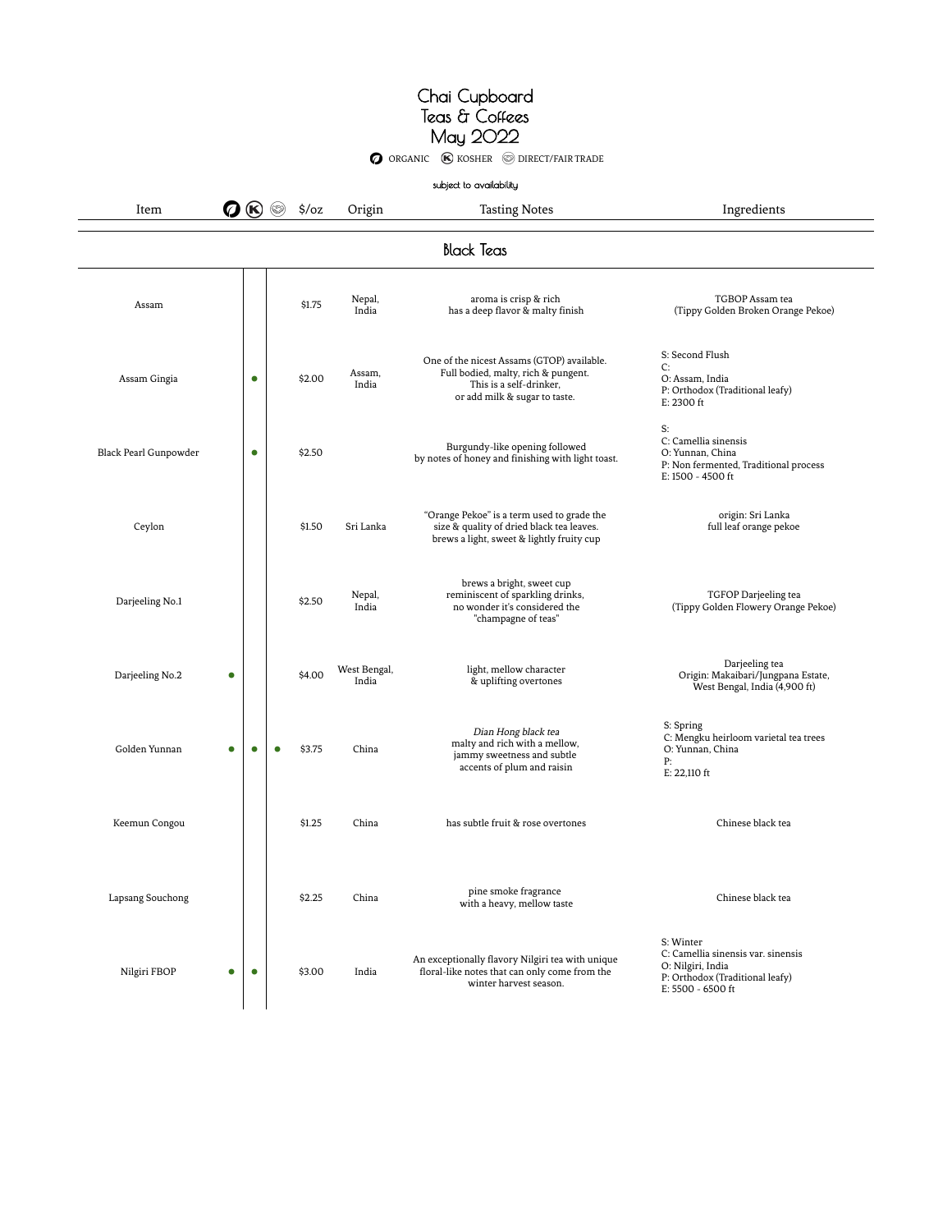**O** ORGANIC **(K)** KOSHER **O DIRECT/FAIR TRADE** subject to availability Item  $\bigcirc \bigcirc \bigcirc \bigcirc$   $\Rightarrow$   $\Diamond$   $\Diamond$   $\Diamond$   $\Diamond$   $\Diamond$  Origin Tasting Notes  $\Box$  Ingredients Black Teas Assam  $\begin{array}{|c|c|c|c|c|}\n\hline\n&\text{Assam} & &\text{Nepal}, \\
&\text{S1.75} & &\text{Nepal}, \\
&\text{A1.11} & &\text{A2.12} \\
&\text{A3.13} & &\text{A4.13} \\
&\text{A5.13} & &\text{A6.13} \\
&\text{A7.13} & &\text{A8.13} \\
&\text{A8.13} & &\text{A8.13} \\
&\text{A9.13} & &\text{A1.13} \\
&\text{A1.13} & &\text{A1.13} \\
&$ India aroma is crisp & rich has a deep flavor & malty finish TGBOP Assam tea (Tippy Golden Broken Orange Pekoe) Assam Gingia •  $$2.00$  Assam, India One of the nicest Assams (GTOP) available. Full bodied, malty, rich & pungent. This is a self-drinker, or add milk & sugar to taste. S: Second Flush C: O: Assam, India P: Orthodox (Traditional leafy) E: 2300 ft Black Pearl Gunpowder **••** \$2.50 Burgundy-like opening followed by notes of honey and finishing with light toast. S: C: Camellia sinensis O: Yunnan, China P: Non fermented, Traditional process E: 1500 - 4500 ft Ceylon  $\vert$   $\vert$  \$1.50 Sri Lanka "Orange Pekoe" is a term used to grade the size & quality of dried black tea leaves. brews a light, sweet & lightly fruity cup origin: Sri Lanka full leaf orange pekoe Darjeeling No.1 \$2.50 Nepal, India brews a bright, sweet cup reminiscent of sparkling drinks, no wonder it's considered the "champagne of teas" TGFOP Darjeeling tea (Tippy Golden Flowery Orange Pekoe) Darjeeling No.2 **•** \$4.00 West Bengal, India light, mellow character & uplifting overtones Darjeeling tea Origin: Makaibari/Jungpana Estate, West Bengal, India (4,900 ft) Golden Yunnan • • • • • \$3.75 China Dian Hong black tea malty and rich with a mellow, jammy sweetness and subtle accents of plum and raisin S: Spring C: Mengku heirloom varietal tea trees O: Yunnan, China P: E: 22,110 ft Keemun Congou \$1.25 China has subtle fruit & rose overtones Chinese black tea Lapsang Souchong **binary of the S2.25** China pine smoke fragrance pine smoke fragrance<br>with a heavy, mellow taste chinese black teaming of the Chinese black teaming of the chinese black teaming of the chinese black teaming of the chinese black teaming of the chinese black teaming of the Nilgiri FBOP • • \$3.00 India An exceptionally flavory Nilgiri tea with unique floral-like notes that can only come from the S: Winter C: Camellia sinensis var. sinensis O: Nilgiri, India P: Orthodox (Traditional leafy)

winter harvest season.

E: 5500 - 6500 ft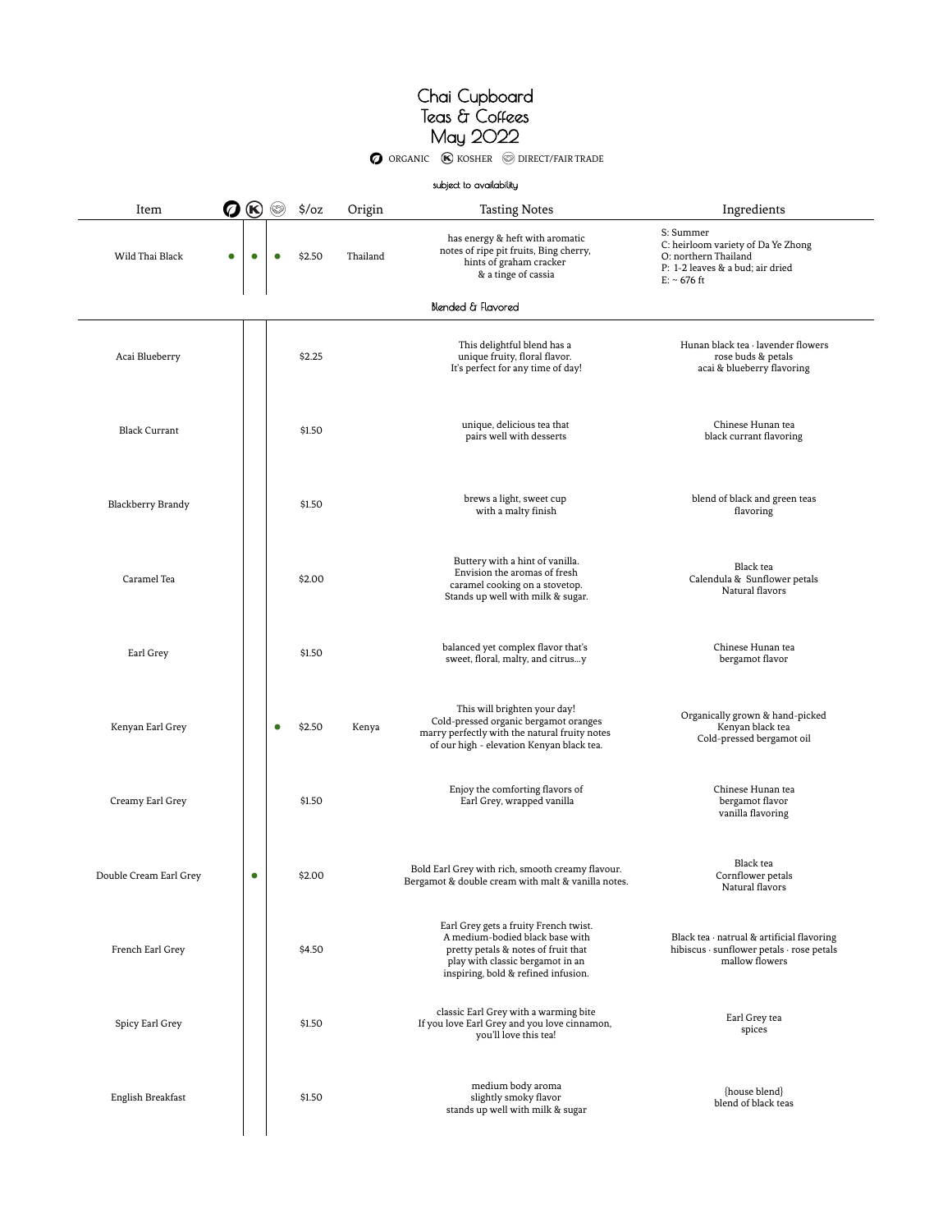**O** ORGANIC **K** KOSHER **O** DIRECT/FAIR TRADE

|                        |           |           |                   |          | subject to availability                                                                                                                                                                    |                                                                                                                                      |
|------------------------|-----------|-----------|-------------------|----------|--------------------------------------------------------------------------------------------------------------------------------------------------------------------------------------------|--------------------------------------------------------------------------------------------------------------------------------------|
| Item                   | 0 ®       |           | $\frac{1}{2}$ /oz | Origin   | <b>Tasting Notes</b>                                                                                                                                                                       | Ingredients                                                                                                                          |
| Wild Thai Black<br>C   | $\bullet$ |           | \$2.50            | Thailand | has energy & heft with aromatic<br>notes of ripe pit fruits, Bing cherry,<br>hints of graham cracker<br>& a tinge of cassia                                                                | S: Summer<br>C: heirloom variety of Da Ye Zhong<br>O: northern Thailand<br>P: 1-2 leaves & a bud; air dried<br>$E: ~ 676 \text{ ft}$ |
|                        |           |           |                   |          | Blended & Flavored                                                                                                                                                                         |                                                                                                                                      |
| Acai Blueberry         |           |           | \$2.25            |          | This delightful blend has a<br>unique fruity, floral flavor.<br>It's perfect for any time of day!                                                                                          | Hunan black tea · lavender flowers<br>rose buds & petals<br>acai & blueberry flavoring                                               |
| <b>Black Currant</b>   |           |           | \$1.50            |          | unique, delicious tea that<br>pairs well with desserts                                                                                                                                     | Chinese Hunan tea<br>black currant flavoring                                                                                         |
| Blackberry Brandy      |           |           | \$1.50            |          | brews a light, sweet cup<br>with a malty finish                                                                                                                                            | blend of black and green teas<br>flavoring                                                                                           |
| Caramel Tea            |           |           | \$2.00            |          | Buttery with a hint of vanilla.<br>Envision the aromas of fresh<br>caramel cooking on a stovetop.<br>Stands up well with milk & sugar.                                                     | Black tea<br>Calendula & Sunflower petals<br>Natural flavors                                                                         |
| Earl Grey              |           |           | \$1.50            |          | balanced yet complex flavor that's<br>sweet, floral, malty, and citrusy                                                                                                                    | Chinese Hunan tea<br>bergamot flavor                                                                                                 |
| Kenyan Earl Grey       |           | $\bullet$ | \$2.50            | Kenya    | This will brighten your day!<br>Cold-pressed organic bergamot oranges<br>marry perfectly with the natural fruity notes<br>of our high - elevation Kenyan black tea.                        | Organically grown & hand-picked<br>Kenyan black tea<br>Cold-pressed bergamot oil                                                     |
| Creamy Earl Grey       |           |           | \$1.50            |          | Enjoy the comforting flavors of<br>Earl Grey, wrapped vanilla                                                                                                                              | Chinese Hunan tea<br>bergamot flavor<br>vanilla flavoring                                                                            |
| Double Cream Earl Grey | C         |           | \$2.00            |          | Bold Earl Grey with rich, smooth creamy flavour.<br>Bergamot & double cream with malt & vanilla notes.                                                                                     | Black tea<br>Cornflower petals<br>Natural flavors                                                                                    |
| French Earl Grey       |           |           | \$4.50            |          | Earl Grey gets a fruity French twist.<br>A medium-bodied black base with<br>pretty petals & notes of fruit that<br>play with classic bergamot in an<br>inspiring, bold & refined infusion. | Black tea · natrual & artificial flavoring<br>hibiscus · sunflower petals · rose petals<br>mallow flowers                            |
| Spicy Earl Grey        |           |           | \$1.50            |          | classic Earl Grey with a warming bite<br>If you love Earl Grey and you love cinnamon,<br>you'll love this tea!                                                                             | Earl Grey tea<br>spices                                                                                                              |
| English Breakfast      |           |           | \$1.50            |          | medium body aroma<br>slightly smoky flavor<br>stands up well with milk & sugar                                                                                                             | {house blend}<br>blend of black teas                                                                                                 |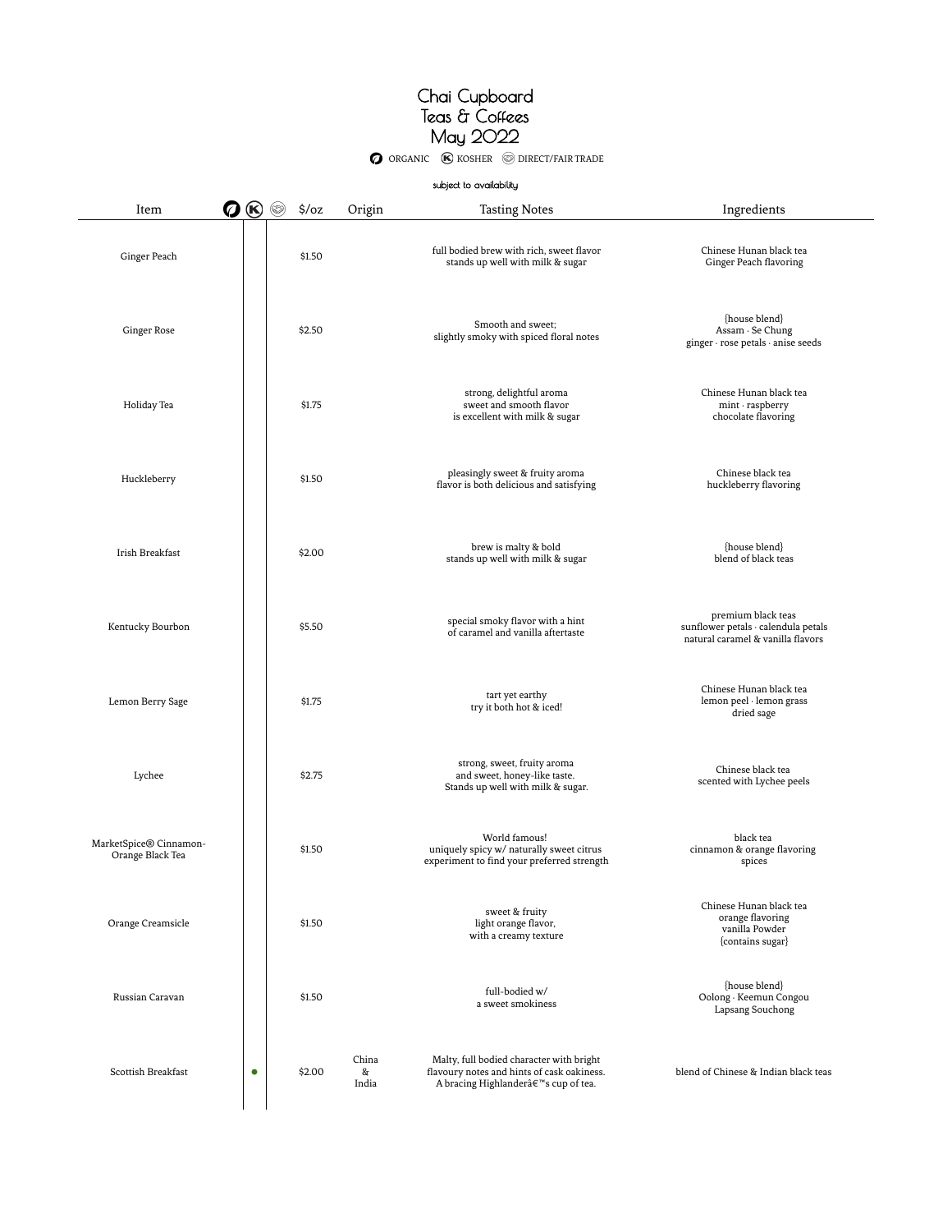O ORGANIC (K) KOSHER S DIRECT/FAIR TRADE

| subject to availability |  |
|-------------------------|--|
|-------------------------|--|

| Item<br>Ø                                  | (K | $\frac{1}{2}$ /oz | Origin              | <b>Tasting Notes</b>                                                                                                                        | Ingredients                                                                                    |
|--------------------------------------------|----|-------------------|---------------------|---------------------------------------------------------------------------------------------------------------------------------------------|------------------------------------------------------------------------------------------------|
| Ginger Peach                               |    | \$1.50            |                     | full bodied brew with rich, sweet flavor<br>stands up well with milk & sugar                                                                | Chinese Hunan black tea<br>Ginger Peach flavoring                                              |
| Ginger Rose                                |    | \$2.50            |                     | Smooth and sweet;<br>slightly smoky with spiced floral notes                                                                                | {house blend}<br>Assam · Se Chung<br>ginger · rose petals · anise seeds                        |
| Holiday Tea                                |    | \$1.75            |                     | strong, delightful aroma<br>sweet and smooth flavor<br>is excellent with milk & sugar                                                       | Chinese Hunan black tea<br>$min \cdot$ raspberry<br>chocolate flavoring                        |
| Huckleberry                                |    | \$1.50            |                     | pleasingly sweet & fruity aroma<br>flavor is both delicious and satisfying                                                                  | Chinese black tea<br>huckleberry flavoring                                                     |
| Irish Breakfast                            |    | \$2.00            |                     | brew is malty & bold<br>stands up well with milk & sugar                                                                                    | {house blend}<br>blend of black teas                                                           |
| Kentucky Bourbon                           |    | \$5.50            |                     | special smoky flavor with a hint<br>of caramel and vanilla aftertaste                                                                       | premium black teas<br>sunflower petals · calendula petals<br>natural caramel & vanilla flavors |
| Lemon Berry Sage                           |    | \$1.75            |                     | tart yet earthy<br>try it both hot & iced!                                                                                                  | Chinese Hunan black tea<br>lemon peel · lemon grass<br>dried sage                              |
| Lychee                                     |    | \$2.75            |                     | strong, sweet, fruity aroma<br>and sweet, honey-like taste.<br>Stands up well with milk & sugar.                                            | Chinese black tea<br>scented with Lychee peels                                                 |
| MarketSpice® Cinnamon-<br>Orange Black Tea |    | \$1.50            |                     | World famous!<br>uniquely spicy w/ naturally sweet citrus<br>experiment to find your preferred strength                                     | black tea<br>cinnamon & orange flavoring<br>spices                                             |
| Orange Creamsicle                          |    | \$1.50            |                     | sweet & fruity<br>light orange flavor,<br>with a creamy texture                                                                             | Chinese Hunan black tea<br>orange flavoring<br>vanilla Powder<br>{contains sugar}              |
| Russian Caravan                            |    | \$1.50            |                     | full-bodied w/<br>a sweet smokiness                                                                                                         | {house blend}<br>Oolong · Keemun Congou<br>Lapsang Souchong                                    |
| Scottish Breakfast                         | ۰  | \$2.00            | China<br>&<br>India | Malty, full bodied character with bright<br>flavoury notes and hints of cask oakiness.<br>A bracing Highlanderâ€ <sup>™</sup> s cup of tea. | blend of Chinese & Indian black teas                                                           |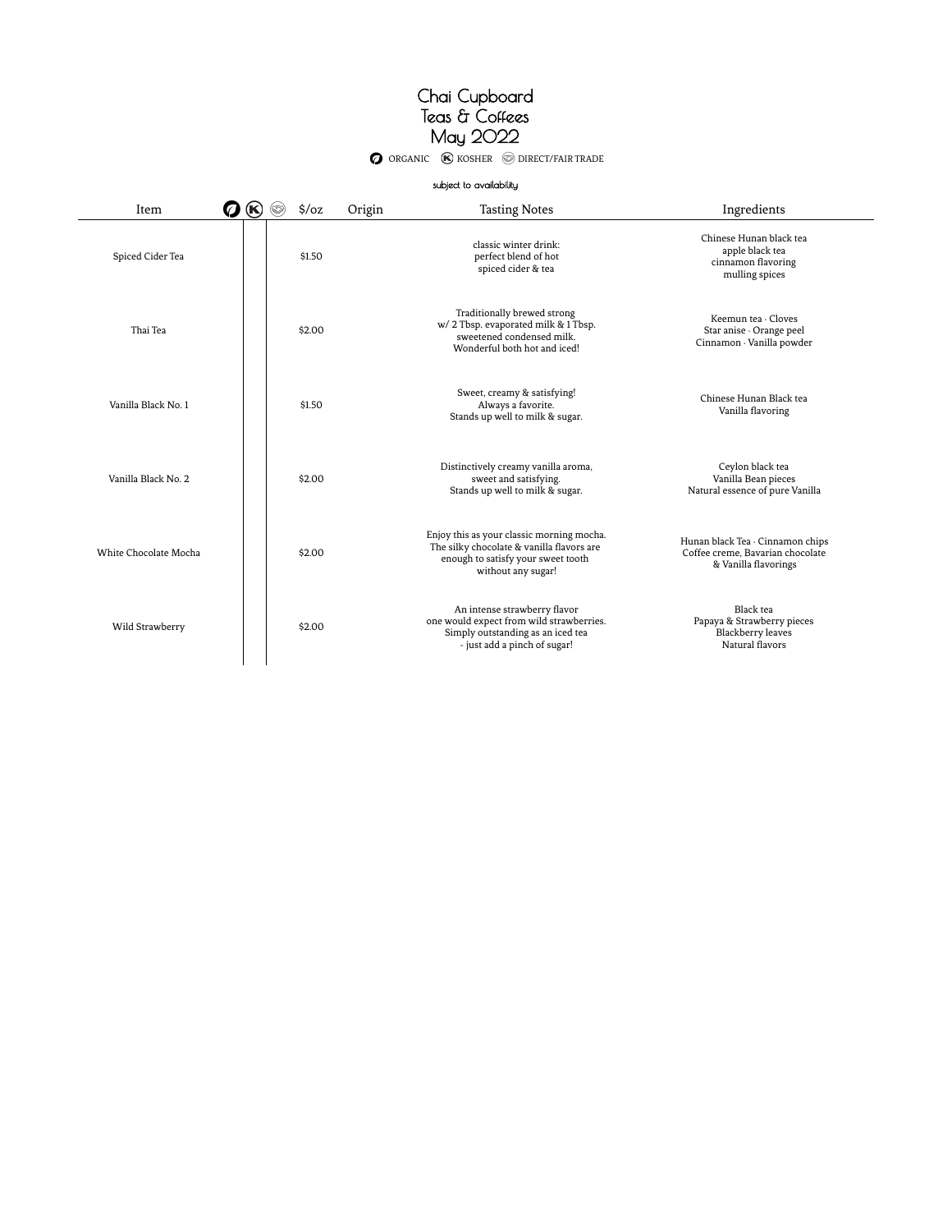O ORGANIC **(K)** KOSHER **O DIRECT/FAIR TRADE** 

#### subject to availability

 $\sim$ 

| Item<br>Ø             | $\circledast$ | (53) | $\frac{1}{2}$ /oz | Origin | <b>Tasting Notes</b>                                                                                                                               | Ingredients                                                                                  |
|-----------------------|---------------|------|-------------------|--------|----------------------------------------------------------------------------------------------------------------------------------------------------|----------------------------------------------------------------------------------------------|
| Spiced Cider Tea      |               |      | \$1.50            |        | classic winter drink:<br>perfect blend of hot<br>spiced cider & tea                                                                                | Chinese Hunan black tea<br>apple black tea<br>cinnamon flavoring<br>mulling spices           |
| Thai Tea              |               |      | \$2.00            |        | Traditionally brewed strong<br>w/2 Tbsp. evaporated milk & 1 Tbsp.<br>sweetened condensed milk.<br>Wonderful both hot and iced!                    | Keemun tea · Cloves<br>Star anise · Orange peel<br>Cinnamon · Vanilla powder                 |
| Vanilla Black No. 1   |               |      | \$1.50            |        | Sweet, creamy & satisfying!<br>Always a favorite.<br>Stands up well to milk & sugar.                                                               | Chinese Hunan Black tea<br>Vanilla flavoring                                                 |
| Vanilla Black No. 2   |               |      | \$2.00            |        | Distinctively creamy vanilla aroma,<br>sweet and satisfying.<br>Stands up well to milk & sugar.                                                    | Ceylon black tea<br>Vanilla Bean pieces<br>Natural essence of pure Vanilla                   |
| White Chocolate Mocha |               |      | \$2.00            |        | Enjoy this as your classic morning mocha.<br>The silky chocolate & vanilla flavors are<br>enough to satisfy your sweet tooth<br>without any sugar! | Hunan black Tea · Cinnamon chips<br>Coffee creme, Bavarian chocolate<br>& Vanilla flavorings |
| Wild Strawberry       |               |      | \$2.00            |        | An intense strawberry flavor<br>one would expect from wild strawberries.<br>Simply outstanding as an iced tea<br>- just add a pinch of sugar!      | Black tea<br>Papaya & Strawberry pieces<br><b>Blackberry</b> leaves<br>Natural flavors       |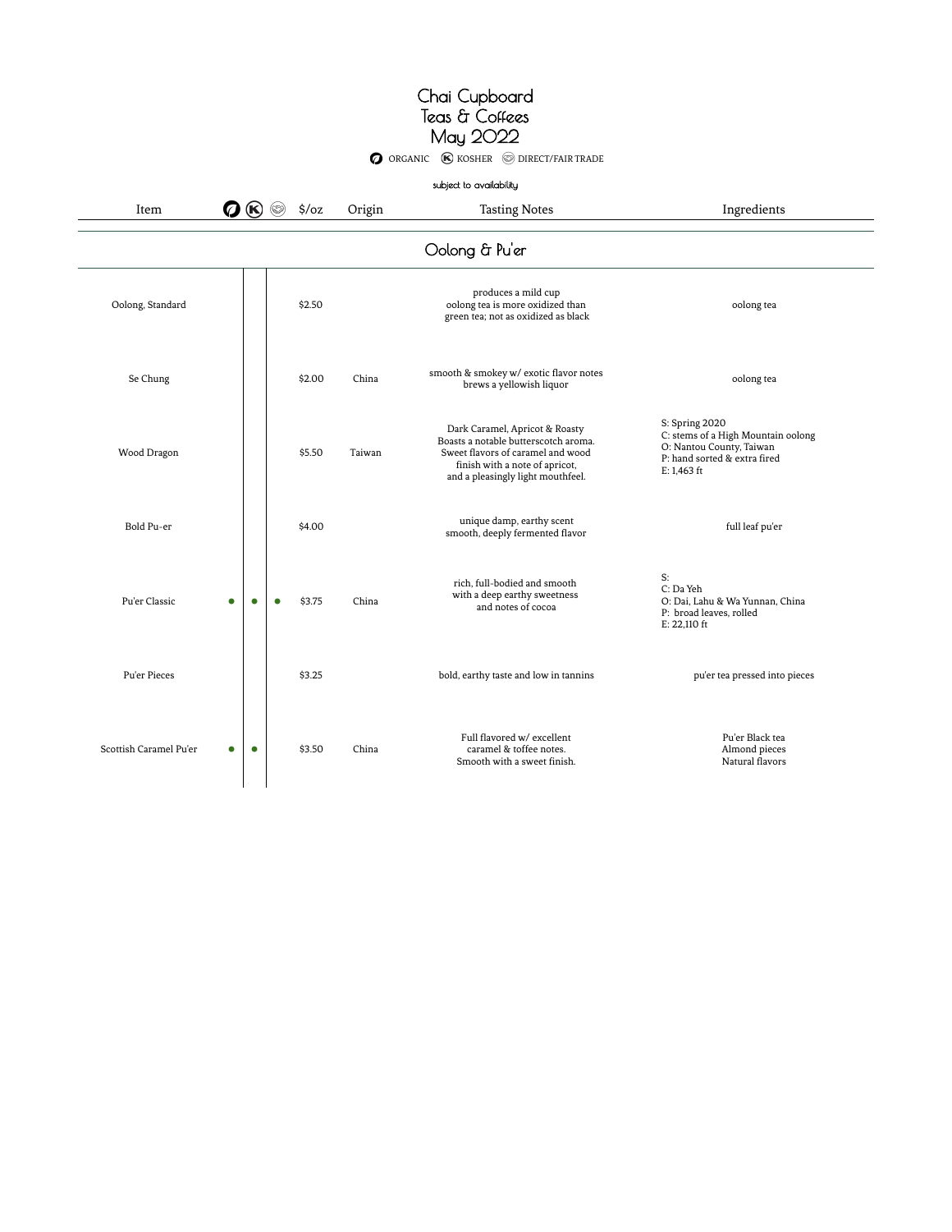| Item                   | Q         |           | $\frac{1}{2}$ /oz<br>(63) | Origin | subject to availability<br><b>Tasting Notes</b>                                                                                                                                    | Ingredients                                                                                                                       |
|------------------------|-----------|-----------|---------------------------|--------|------------------------------------------------------------------------------------------------------------------------------------------------------------------------------------|-----------------------------------------------------------------------------------------------------------------------------------|
|                        |           |           |                           |        | Oolong & Pu'er                                                                                                                                                                     |                                                                                                                                   |
| Oolong, Standard       |           |           | \$2.50                    |        | produces a mild cup<br>oolong tea is more oxidized than<br>green tea; not as oxidized as black                                                                                     | oolong tea                                                                                                                        |
| Se Chung               |           |           | \$2.00                    | China  | smooth & smokey w/ exotic flavor notes<br>brews a yellowish liquor                                                                                                                 | oolong tea                                                                                                                        |
| Wood Dragon            |           |           | \$5.50                    | Taiwan | Dark Caramel, Apricot & Roasty<br>Boasts a notable butterscotch aroma.<br>Sweet flavors of caramel and wood<br>finish with a note of apricot,<br>and a pleasingly light mouthfeel. | S: Spring 2020<br>C: stems of a High Mountain oolong<br>O: Nantou County, Taiwan<br>P: hand sorted & extra fired<br>$E: 1,463$ ft |
| Bold Pu-er             |           |           | \$4.00                    |        | unique damp, earthy scent<br>smooth, deeply fermented flavor                                                                                                                       | full leaf pu'er                                                                                                                   |
| Pu'er Classic          | $\bullet$ | ۰         | \$3.75<br>$\bullet$       | China  | rich, full-bodied and smooth<br>with a deep earthy sweetness<br>and notes of cocoa                                                                                                 | S:<br>C: Da Yeh<br>O: Dai, Lahu & Wa Yunnan, China<br>P: broad leaves, rolled<br>E: 22,110 ft                                     |
| Pu'er Pieces           |           |           | \$3.25                    |        | bold, earthy taste and low in tannins                                                                                                                                              | pu'er tea pressed into pieces                                                                                                     |
| Scottish Caramel Pu'er | $\bullet$ | $\bullet$ | \$3.50                    | China  | Full flavored w/ excellent<br>caramel & toffee notes.<br>Smooth with a sweet finish.                                                                                               | Pu'er Black tea<br>Almond pieces<br>Natural flavors                                                                               |

O ORGANIC (K) KOSHER S DIRECT/FAIR TRADE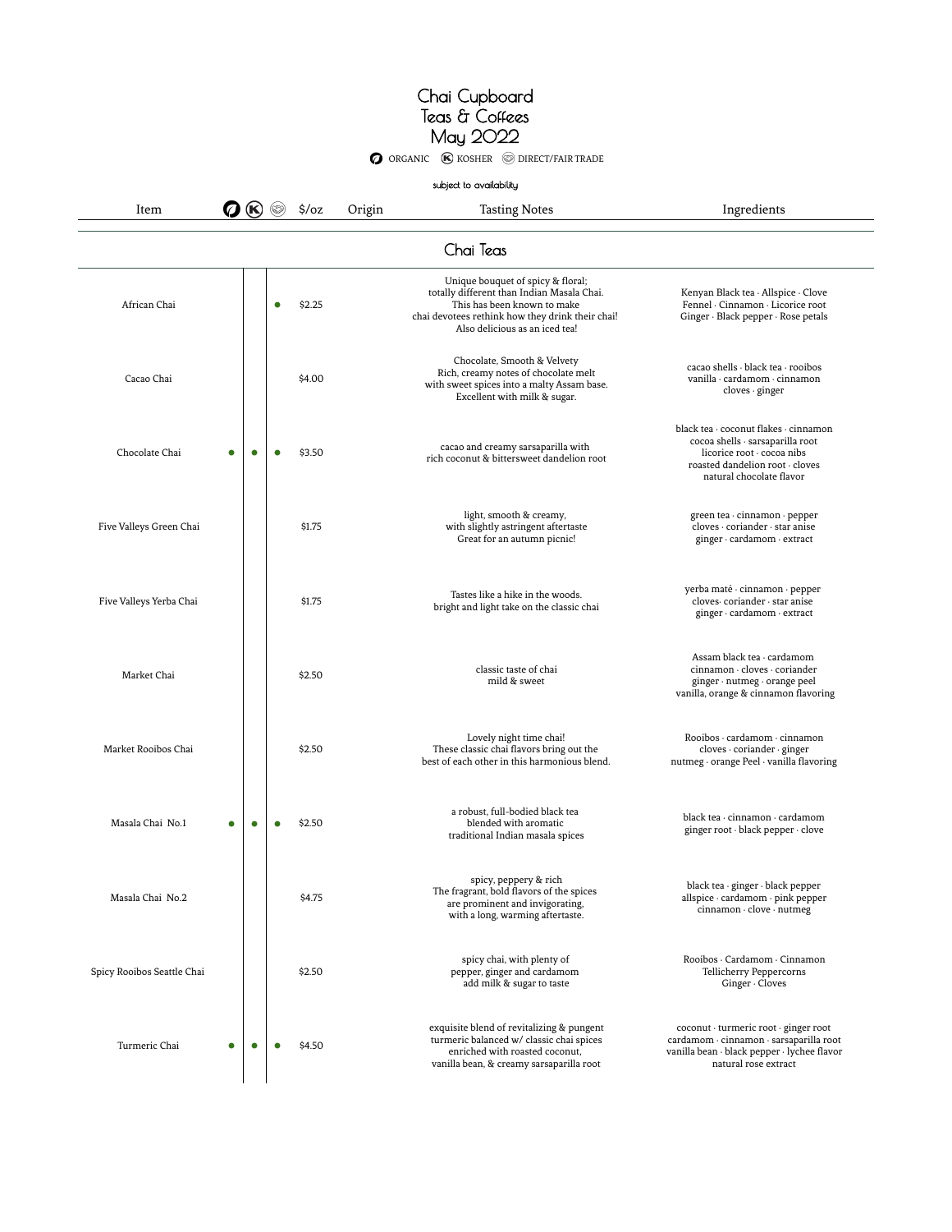O ORGANIC **(K)** KOSHER **O DIRECT/FAIR TRADE** 

|                            |   |           |           |                  |        | subject to availability                                                                                                                                                                              |                                                                                                                                                                        |
|----------------------------|---|-----------|-----------|------------------|--------|------------------------------------------------------------------------------------------------------------------------------------------------------------------------------------------------------|------------------------------------------------------------------------------------------------------------------------------------------------------------------------|
| Item                       |   |           |           | $\frac{1}{2}$ oz | Origin | <b>Tasting Notes</b>                                                                                                                                                                                 | Ingredients                                                                                                                                                            |
|                            |   |           |           |                  |        | Chai Teas                                                                                                                                                                                            |                                                                                                                                                                        |
| African Chai               |   |           | $\bullet$ | \$2.25           |        | Unique bouquet of spicy & floral;<br>totally different than Indian Masala Chai.<br>This has been known to make<br>chai devotees rethink how they drink their chai!<br>Also delicious as an iced tea! | Kenyan Black tea · Allspice · Clove<br>Fennel · Cinnamon · Licorice root<br>Ginger · Black pepper · Rose petals                                                        |
| Cacao Chai                 |   |           |           | \$4.00           |        | Chocolate, Smooth & Velvety<br>Rich, creamy notes of chocolate melt<br>with sweet spices into a malty Assam base.<br>Excellent with milk & sugar.                                                    | cacao shells · black tea · rooibos<br>vanilla · cardamom · cinnamon<br>cloves · ginger                                                                                 |
| Chocolate Chai             | O | $\bullet$ | ٠         | \$3.50           |        | cacao and creamy sarsaparilla with<br>rich coconut & bittersweet dandelion root                                                                                                                      | black tea · coconut flakes · cinnamon<br>cocoa shells · sarsaparilla root<br>licorice root · cocoa nibs<br>roasted dandelion root · cloves<br>natural chocolate flavor |
| Five Valleys Green Chai    |   |           |           | \$1.75           |        | light, smooth & creamy,<br>with slightly astringent aftertaste<br>Great for an autumn picnic!                                                                                                        | green tea · cinnamon · pepper<br>cloves · coriander · star anise<br>ginger · cardamom · extract                                                                        |
| Five Valleys Yerba Chai    |   |           |           | \$1.75           |        | Tastes like a hike in the woods.<br>bright and light take on the classic chai                                                                                                                        | yerba maté · cinnamon · pepper<br>cloves coriander · star anise<br>ginger · cardamom · extract                                                                         |
| Market Chai                |   |           |           | \$2.50           |        | classic taste of chai<br>mild & sweet                                                                                                                                                                | Assam black tea · cardamom<br>cinnamon · cloves · coriander<br>ginger · nutmeg · orange peel<br>vanilla, orange & cinnamon flavoring                                   |
| Market Rooibos Chai        |   |           |           | \$2.50           |        | Lovely night time chai!<br>These classic chai flavors bring out the<br>best of each other in this harmonious blend.                                                                                  | Rooibos · cardamom · cinnamon<br>cloves · coriander · ginger<br>nutmeg · orange Peel · vanilla flavoring                                                               |
| Masala Chai No.1           | Ω | ٠         | ٠         | \$2.50           |        | a robust, full-bodied black tea<br>blended with aromatic<br>traditional Indian masala spices                                                                                                         | black tea · cinnamon · cardamom<br>ginger root · black pepper · clove                                                                                                  |
| Masala Chai No.2           |   |           |           | \$4.75           |        | spicy, peppery & rich<br>The fragrant, bold flavors of the spices<br>are prominent and invigorating,<br>with a long, warming aftertaste.                                                             | black tea · ginger · black pepper<br>allspice · cardamom · pink pepper<br>cinnamon · clove · nutmeg                                                                    |
| Spicy Rooibos Seattle Chai |   |           |           | \$2.50           |        | spicy chai, with plenty of<br>pepper, ginger and cardamom<br>add milk & sugar to taste                                                                                                               | Rooibos · Cardamom · Cinnamon<br>Tellicherry Peppercorns<br>Ginger · Cloves                                                                                            |
| Turmeric Chai              |   | $\bullet$ | ٠         | \$4.50           |        | exquisite blend of revitalizing & pungent<br>turmeric balanced w/ classic chai spices<br>enriched with roasted coconut,<br>vanilla bean, & creamy sarsaparilla root                                  | coconut · turmeric root · ginger root<br>cardamom · cinnamon · sarsaparilla root<br>vanilla bean · black pepper · lychee flavor<br>natural rose extract                |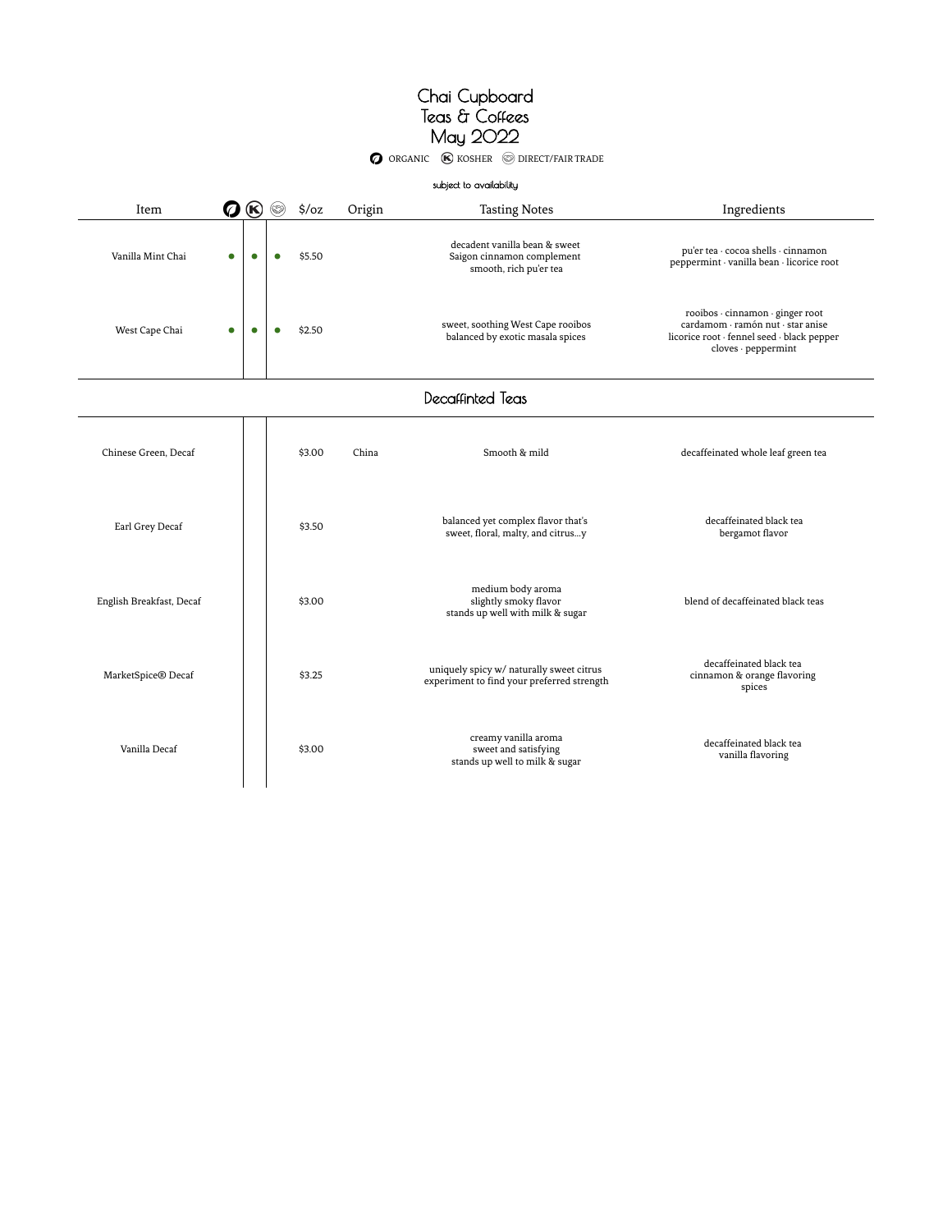**O** ORGANIC **K** KOSHER **O** DIRECT/FAIR TRADE

|                          |                                    |           |           |                   |        | subject to availability                                                                |                                                                                                                                            |
|--------------------------|------------------------------------|-----------|-----------|-------------------|--------|----------------------------------------------------------------------------------------|--------------------------------------------------------------------------------------------------------------------------------------------|
| Item                     | $^{\circledR}$<br>$\boldsymbol{Q}$ |           |           | $\frac{1}{2}$ /oz | Origin | <b>Tasting Notes</b>                                                                   | Ingredients                                                                                                                                |
| Vanilla Mint Chai        | $\bullet$                          | $\bullet$ | $\bullet$ | \$5.50            |        | decadent vanilla bean & sweet<br>Saigon cinnamon complement<br>smooth, rich pu'er tea  | pu'er tea · cocoa shells · cinnamon<br>peppermint · vanilla bean · licorice root                                                           |
| West Cape Chai           | $\bullet$                          | $\bullet$ | $\bullet$ | \$2.50            |        | sweet, soothing West Cape rooibos<br>balanced by exotic masala spices                  | rooibos · cinnamon · ginger root<br>cardamom · ramón nut · star anise<br>licorice root · fennel seed · black pepper<br>cloves · peppermint |
|                          |                                    |           |           |                   |        | Decaffinted Teas                                                                       |                                                                                                                                            |
| Chinese Green, Decaf     |                                    |           |           | \$3.00            | China  | Smooth & mild                                                                          | decaffeinated whole leaf green tea                                                                                                         |
| Earl Grey Decaf          |                                    |           |           | \$3.50            |        | balanced yet complex flavor that's<br>sweet, floral, malty, and citrusy                | decaffeinated black tea<br>bergamot flavor                                                                                                 |
| English Breakfast, Decaf |                                    |           |           | \$3.00            |        | medium body aroma<br>slightly smoky flavor<br>stands up well with milk & sugar         | blend of decaffeinated black teas                                                                                                          |
| MarketSpice® Decaf       |                                    |           |           | \$3.25            |        | uniquely spicy w/ naturally sweet citrus<br>experiment to find your preferred strength | decaffeinated black tea<br>cinnamon & orange flavoring<br>spices                                                                           |
| Vanilla Decaf            |                                    |           |           | \$3.00            |        | creamy vanilla aroma<br>sweet and satisfying<br>stands up well to milk & sugar         | decaffeinated black tea<br>vanilla flavoring                                                                                               |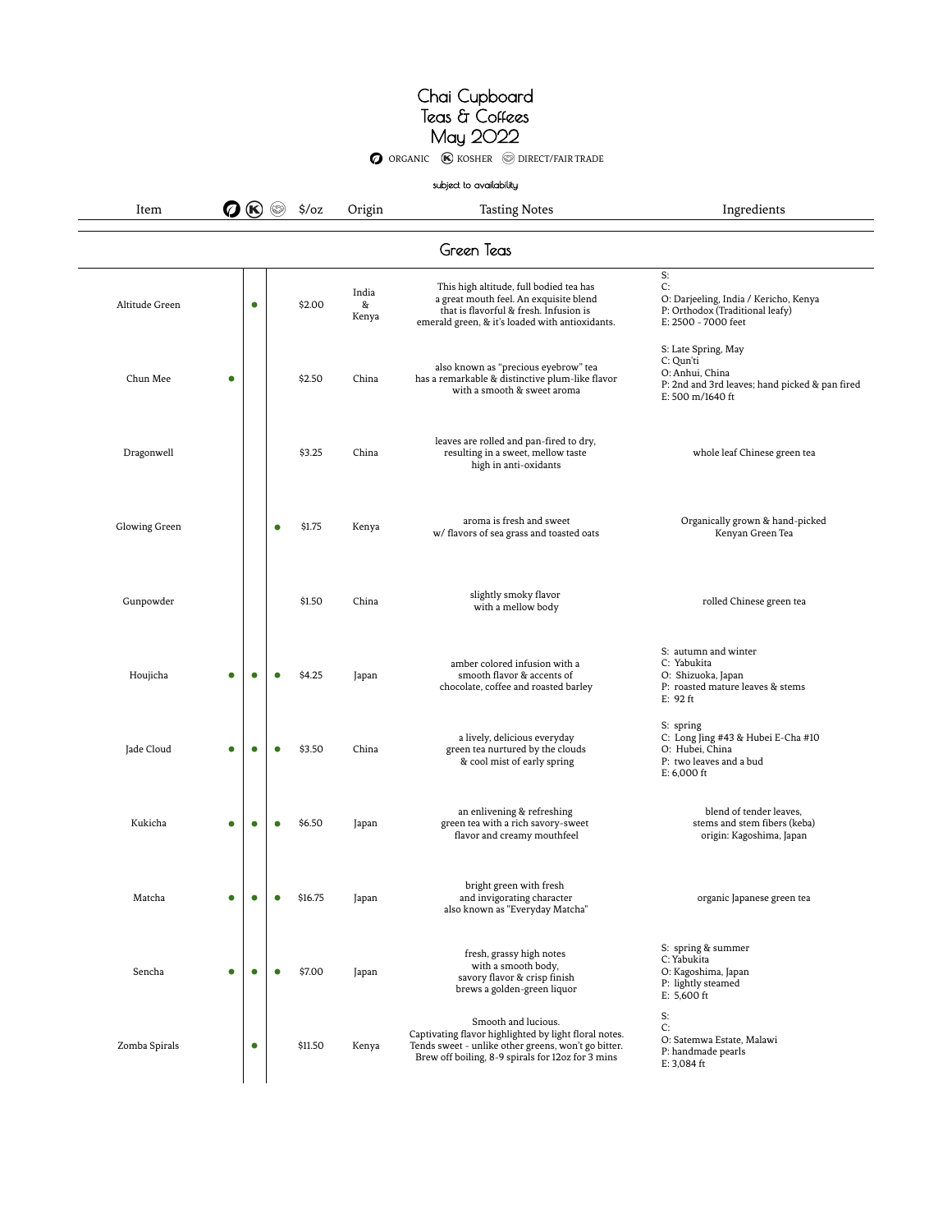**O** ORGANIC **C** KOSHER **O** DIRECT/FAIR TRADE

|  | subject to availability |
|--|-------------------------|
|--|-------------------------|

 $\bullet$   $\bullet$   $\circ$   $\circ$   $\circ$   $\circ$  Origin Tasting Notes Ingredients

| Green Teas     |           |           |           |         |                     |                                                                                                                                                                                          |                                                                                                                           |  |
|----------------|-----------|-----------|-----------|---------|---------------------|------------------------------------------------------------------------------------------------------------------------------------------------------------------------------------------|---------------------------------------------------------------------------------------------------------------------------|--|
| Altitude Green |           | $\bullet$ |           | \$2.00  | India<br>&<br>Kenya | This high altitude, full bodied tea has<br>a great mouth feel. An exquisite blend<br>that is flavorful & fresh. Infusion is<br>emerald green, & it's loaded with antioxidants.           | S:<br>C:<br>O: Darjeeling, India / Kericho, Kenya<br>P: Orthodox (Traditional leafy)<br>E: 2500 - 7000 feet               |  |
| Chun Mee       | $\bullet$ |           |           | \$2.50  | China               | also known as "precious eyebrow" tea<br>has a remarkable & distinctive plum-like flavor<br>with a smooth & sweet aroma                                                                   | S: Late Spring, May<br>C: Qun'ti<br>O: Anhui, China<br>P: 2nd and 3rd leaves; hand picked & pan fired<br>E: 500 m/1640 ft |  |
| Dragonwell     |           |           |           | \$3.25  | China               | leaves are rolled and pan-fired to dry,<br>resulting in a sweet, mellow taste<br>high in anti-oxidants                                                                                   | whole leaf Chinese green tea                                                                                              |  |
| Glowing Green  |           |           | ٠         | \$1.75  | Kenya               | aroma is fresh and sweet<br>w/ flavors of sea grass and toasted oats                                                                                                                     | Organically grown & hand-picked<br>Kenyan Green Tea                                                                       |  |
| Gunpowder      |           |           |           | \$1.50  | China               | slightly smoky flavor<br>with a mellow body                                                                                                                                              | rolled Chinese green tea                                                                                                  |  |
| Houjicha       | $\bullet$ | $\bullet$ |           | \$4.25  | Japan               | amber colored infusion with a<br>smooth flavor & accents of<br>chocolate, coffee and roasted barley                                                                                      | S: autumn and winter<br>C: Yabukita<br>O: Shizuoka, Japan<br>P: roasted mature leaves & stems<br>$E: 92$ ft               |  |
| Jade Cloud     | ۰         | О         |           | \$3.50  | China               | a lively, delicious everyday<br>green tea nurtured by the clouds<br>& cool mist of early spring                                                                                          | S: spring<br>C: Long Jing #43 & Hubei E-Cha #10<br>O: Hubei, China<br>P: two leaves and a bud<br>$E: 6,000$ ft            |  |
| Kukicha        | о         | О         |           | \$6.50  | Japan               | an enlivening & refreshing<br>green tea with a rich savory-sweet<br>flavor and creamy mouthfeel                                                                                          | blend of tender leaves,<br>stems and stem fibers (keba)<br>origin: Kagoshima, Japan                                       |  |
| Matcha         | c         |           |           | \$16.75 | Japan               | bright green with fresh<br>and invigorating character<br>also known as "Everyday Matcha"                                                                                                 | organic Japanese green tea                                                                                                |  |
| Sencha         | $\bullet$ | $\bullet$ | $\bullet$ | \$7.00  | Japan               | fresh, grassy high notes<br>with a smooth body,<br>savory flavor & crisp finish<br>brews a golden-green liquor                                                                           | S: spring & summer<br>C: Yabukita<br>O: Kagoshima, Japan<br>P: lightly steamed<br>$E: 5,600$ ft                           |  |
| Zomba Spirals  |           | $\bullet$ |           | \$11.50 | Kenya               | Smooth and lucious.<br>Captivating flavor highlighted by light floral notes.<br>Tends sweet - unlike other greens, won't go bitter.<br>Brew off boiling, 8-9 spirals for 12oz for 3 mins | S:<br>C:<br>O: Satemwa Estate, Malawi<br>P: handmade pearls<br>E: 3,084 ft                                                |  |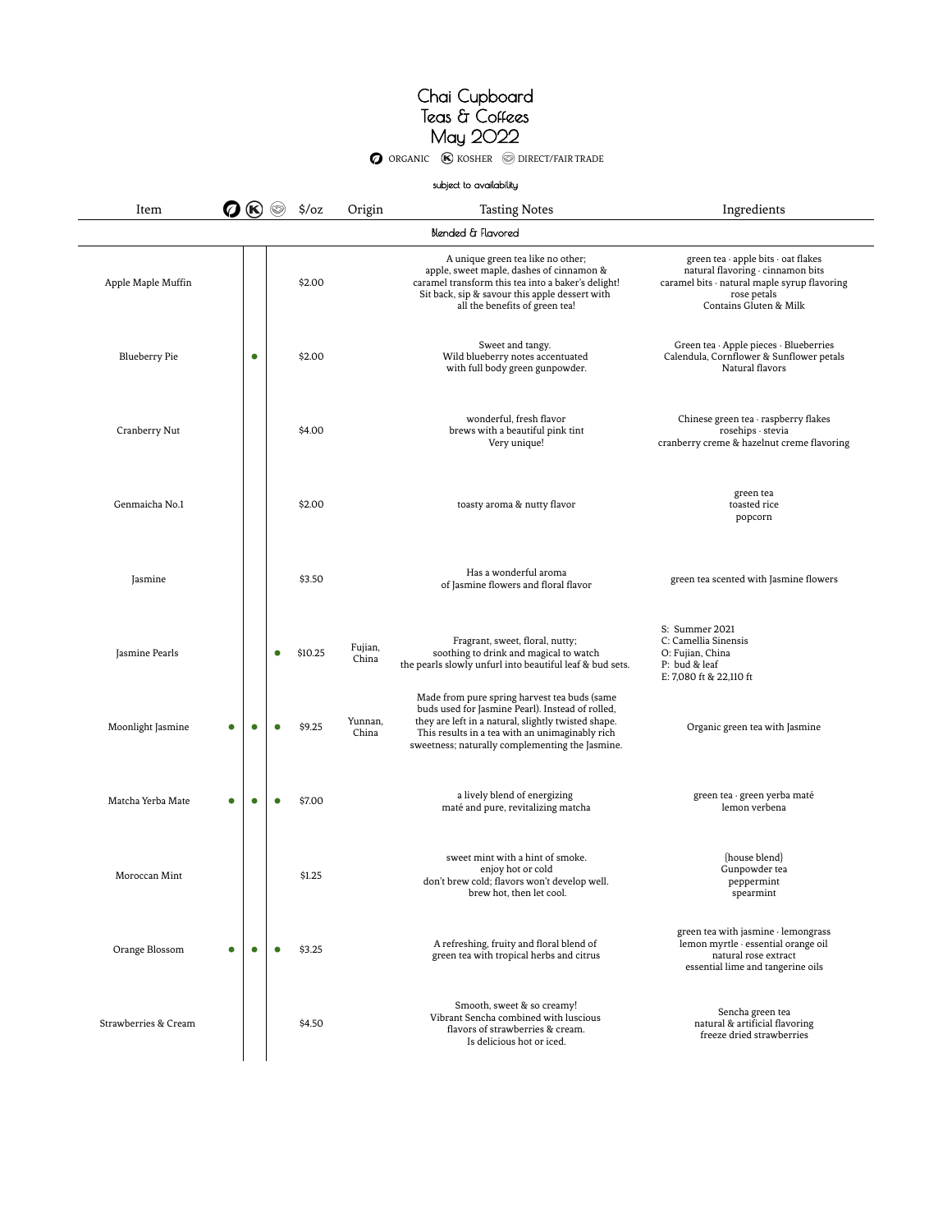O ORGANIC (K) KOSHER S DIRECT/FAIR TRADE

|                      |                  |           |   |                   |                  | subject to availability                                                                                                                                                                                                                                       |                                                                                                                                                                   |
|----------------------|------------------|-----------|---|-------------------|------------------|---------------------------------------------------------------------------------------------------------------------------------------------------------------------------------------------------------------------------------------------------------------|-------------------------------------------------------------------------------------------------------------------------------------------------------------------|
| Item                 | $\boldsymbol{Q}$ | (K)       |   | $\frac{2}{3}$ /oz | Origin           | <b>Tasting Notes</b>                                                                                                                                                                                                                                          | Ingredients                                                                                                                                                       |
|                      |                  |           |   |                   |                  | Blended & Flavored                                                                                                                                                                                                                                            |                                                                                                                                                                   |
| Apple Maple Muffin   |                  |           |   | \$2.00            |                  | A unique green tea like no other;<br>apple, sweet maple, dashes of cinnamon &<br>caramel transform this tea into a baker's delight!<br>Sit back, sip & savour this apple dessert with<br>all the benefits of green tea!                                       | green tea · apple bits · oat flakes<br>natural flavoring · cinnamon bits<br>caramel bits · natural maple syrup flavoring<br>rose petals<br>Contains Gluten & Milk |
| <b>Blueberry Pie</b> |                  | $\bullet$ |   | \$2.00            |                  | Sweet and tangy.<br>Wild blueberry notes accentuated<br>with full body green gunpowder.                                                                                                                                                                       | Green tea · Apple pieces · Blueberries<br>Calendula, Cornflower & Sunflower petals<br>Natural flavors                                                             |
| Cranberry Nut        |                  |           |   | \$4.00            |                  | wonderful, fresh flavor<br>brews with a beautiful pink tint<br>Very unique!                                                                                                                                                                                   | Chinese green tea · raspberry flakes<br>rosehips · stevia<br>cranberry creme & hazelnut creme flavoring                                                           |
| Genmaicha No.1       |                  |           |   | \$2.00            |                  | toasty aroma & nutty flavor                                                                                                                                                                                                                                   | green tea<br>toasted rice<br>popcorn                                                                                                                              |
| Jasmine              |                  |           |   | \$3.50            |                  | Has a wonderful aroma<br>of Jasmine flowers and floral flavor                                                                                                                                                                                                 | green tea scented with Jasmine flowers                                                                                                                            |
| Jasmine Pearls       |                  |           |   | \$10.25           | Fujian,<br>China | Fragrant, sweet, floral, nutty;<br>soothing to drink and magical to watch<br>the pearls slowly unfurl into beautiful leaf & bud sets.                                                                                                                         | S: Summer 2021<br>C: Camellia Sinensis<br>O: Fujian, China<br>P: bud & leaf<br>E: 7,080 ft & 22,110 ft                                                            |
| Moonlight Jasmine    |                  | $\bullet$ |   | \$9.25            | Yunnan,<br>China | Made from pure spring harvest tea buds (same<br>buds used for Jasmine Pearl). Instead of rolled,<br>they are left in a natural, slightly twisted shape.<br>This results in a tea with an unimaginably rich<br>sweetness; naturally complementing the Jasmine. | Organic green tea with Jasmine                                                                                                                                    |
| Matcha Yerba Mate    |                  | ۰         |   | \$7.00            |                  | a lively blend of energizing<br>maté and pure, revitalizing matcha                                                                                                                                                                                            | green tea · green yerba maté<br>lemon verbena                                                                                                                     |
| Moroccan Mint        |                  |           |   | \$1.25            |                  | sweet mint with a hint of smoke.<br>enjoy hot or cold<br>don't brew cold; flavors won't develop well.<br>brew hot, then let cool.                                                                                                                             | {house blend}<br>Gunpowder tea<br>peppermint<br>spearmint                                                                                                         |
| Orange Blossom       | O                | $\bullet$ | ٠ | \$3.25            |                  | A refreshing, fruity and floral blend of<br>green tea with tropical herbs and citrus                                                                                                                                                                          | green tea with jasmine · lemongrass<br>lemon myrtle · essential orange oil<br>natural rose extract<br>essential lime and tangerine oils                           |
| Strawberries & Cream |                  |           |   | \$4.50            |                  | Smooth, sweet & so creamy!<br>Vibrant Sencha combined with luscious<br>flavors of strawberries & cream.<br>Is delicious hot or iced.                                                                                                                          | Sencha green tea<br>natural & artificial flavoring<br>freeze dried strawberries                                                                                   |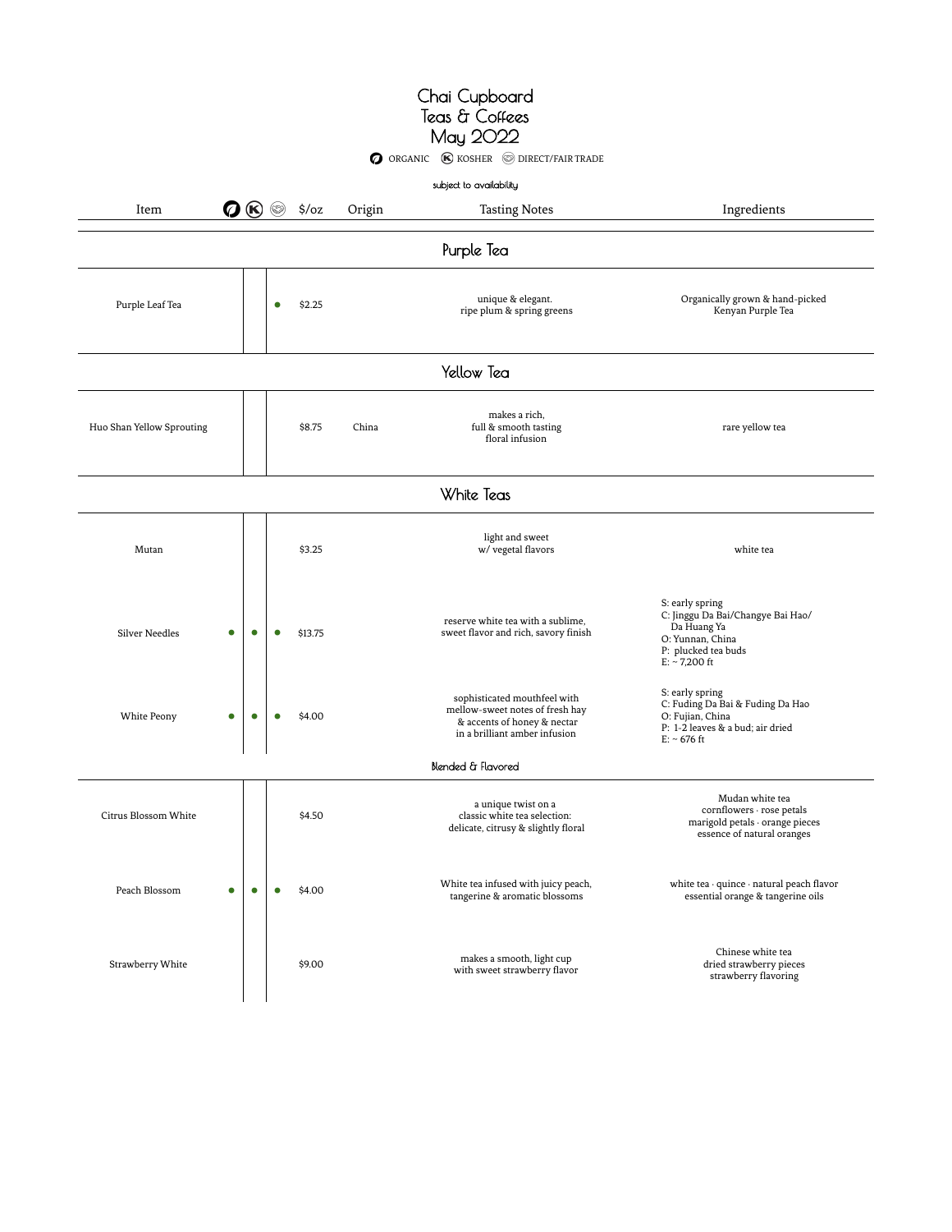### Chai Cupboard Teas & Coffees May 2022 O ORGANIC **(K)** KOSHER **O DIRECT/FAIR TRADE**

|                                    |           |           |                   |        | subject to availability                                                                                                         |                                                                                                                                   |  |
|------------------------------------|-----------|-----------|-------------------|--------|---------------------------------------------------------------------------------------------------------------------------------|-----------------------------------------------------------------------------------------------------------------------------------|--|
| Item                               |           |           | $\frac{1}{2}$ /oz | Origin | <b>Tasting Notes</b>                                                                                                            | Ingredients                                                                                                                       |  |
| Purple Tea                         |           |           |                   |        |                                                                                                                                 |                                                                                                                                   |  |
| Purple Leaf Tea                    |           | $\bullet$ | \$2.25            |        | unique & elegant.<br>ripe plum & spring greens                                                                                  | Organically grown & hand-picked<br>Kenyan Purple Tea                                                                              |  |
| Yellow Tea                         |           |           |                   |        |                                                                                                                                 |                                                                                                                                   |  |
| Huo Shan Yellow Sprouting          |           |           | \$8.75            | China  | makes a rich,<br>full & smooth tasting<br>floral infusion                                                                       | rare yellow tea                                                                                                                   |  |
|                                    |           |           |                   |        | White Teas                                                                                                                      |                                                                                                                                   |  |
| Mutan                              |           |           | \$3.25            |        | light and sweet<br>w/ vegetal flavors                                                                                           | white tea                                                                                                                         |  |
| <b>Silver Needles</b><br>$\bullet$ | $\bullet$ |           | \$13.75           |        | reserve white tea with a sublime,<br>sweet flavor and rich, savory finish                                                       | S: early spring<br>C: Jinggu Da Bai/Changye Bai Hao/<br>Da Huang Ya<br>O: Yunnan, China<br>P: plucked tea buds<br>$E: ~ 7,200$ ft |  |
| White Peony<br>$\bullet$           | $\bullet$ | $\bullet$ | \$4.00            |        | sophisticated mouthfeel with<br>mellow-sweet notes of fresh hay<br>& accents of honey & nectar<br>in a brilliant amber infusion | S: early spring<br>C: Fuding Da Bai & Fuding Da Hao<br>O: Fujian, China<br>P: 1-2 leaves & a bud; air dried<br>$E: ~ 676$ ft      |  |
|                                    |           |           |                   |        | Blended & Flavored                                                                                                              |                                                                                                                                   |  |
| Citrus Blossom White               |           |           | \$4.50            |        | a unique twist on a<br>classic white tea selection:<br>delicate, citrusy & slightly floral                                      | Mudan white tea<br>cornflowers · rose petals<br>marigold petals · orange pieces<br>essence of natural oranges                     |  |
| Peach Blossom                      | О         |           | \$4.00            |        | White tea infused with juicy peach,<br>tangerine & aromatic blossoms                                                            | white tea · quince · natural peach flavor<br>essential orange & tangerine oils                                                    |  |
| Strawberry White                   |           |           | \$9.00            |        | makes a smooth, light cup<br>with sweet strawberry flavor                                                                       | Chinese white tea<br>dried strawberry pieces<br>strawberry flavoring                                                              |  |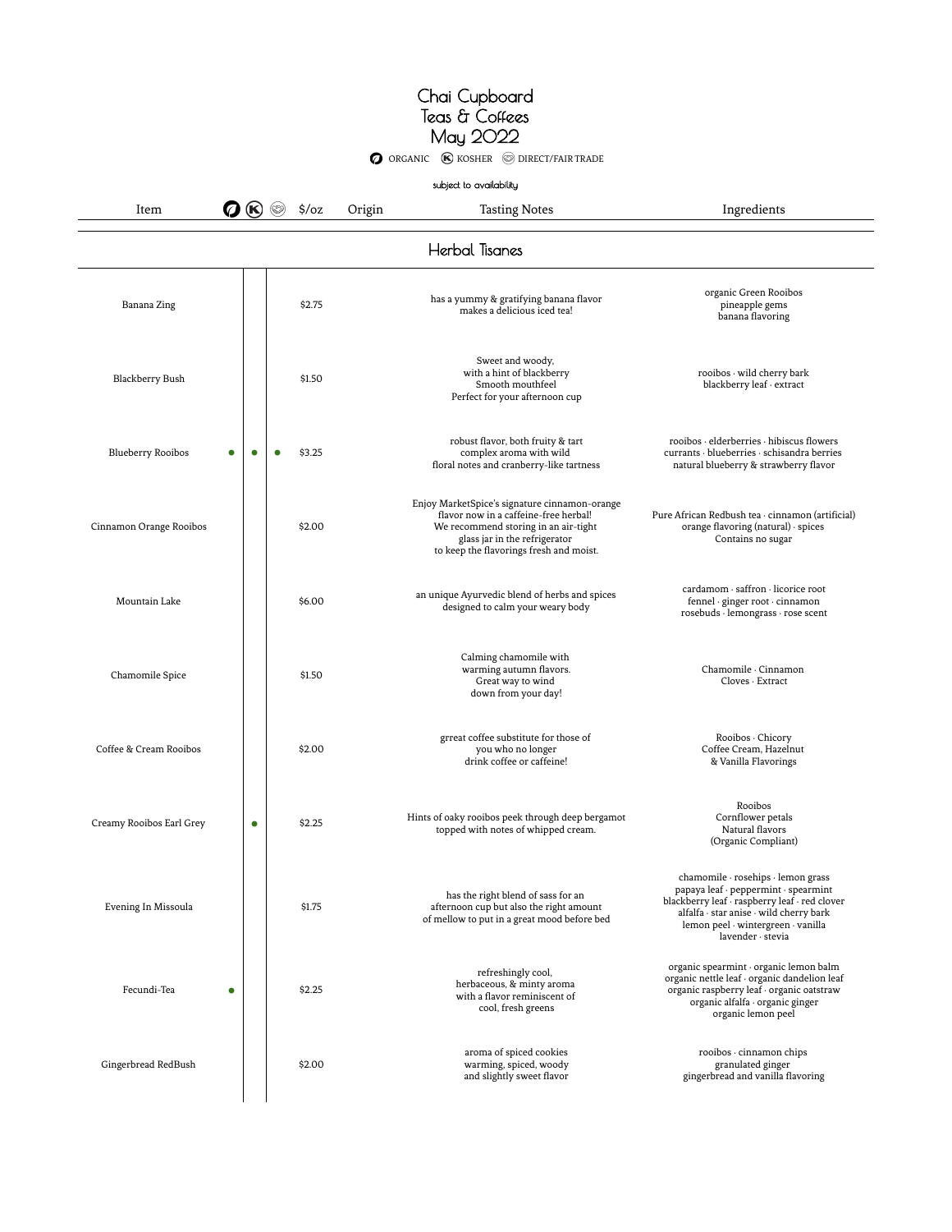**O** ORGANIC **(K)** KOSHER **O** DIRECT/FAIR TRADE

subject to availability

Item  $\bigcirc \bigcirc \bigcirc$   $\circ$  \$/oz Origin Tasting Notes Ingredients

| Herbal Tisanes           |   |                     |  |                                                                                                                                                                                                            |                                                                                                                                                                                                                                   |  |  |  |
|--------------------------|---|---------------------|--|------------------------------------------------------------------------------------------------------------------------------------------------------------------------------------------------------------|-----------------------------------------------------------------------------------------------------------------------------------------------------------------------------------------------------------------------------------|--|--|--|
| Banana Zing              |   | \$2.75              |  | has a yummy & gratifying banana flavor<br>makes a delicious iced tea!                                                                                                                                      | organic Green Rooibos<br>pineapple gems<br>banana flavoring                                                                                                                                                                       |  |  |  |
| Blackberry Bush          |   | \$1.50              |  | Sweet and woody,<br>with a hint of blackberry<br>Smooth mouthfeel<br>Perfect for your afternoon cup                                                                                                        | rooibos · wild cherry bark<br>blackberry leaf · extract                                                                                                                                                                           |  |  |  |
| <b>Blueberry Rooibos</b> | 0 | \$3.25              |  | robust flavor, both fruity & tart<br>complex aroma with wild<br>floral notes and cranberry-like tartness                                                                                                   | rooibos · elderberries · hibiscus flowers<br>currants · blueberries · schisandra berries<br>natural blueberry & strawberry flavor                                                                                                 |  |  |  |
| Cinnamon Orange Rooibos  |   | \$2.00              |  | Enjoy MarketSpice's signature cinnamon-orange<br>flavor now in a caffeine-free herbal!<br>We recommend storing in an air-tight<br>glass jar in the refrigerator<br>to keep the flavorings fresh and moist. | Pure African Redbush tea · cinnamon (artificial)<br>orange flavoring (natural) · spices<br>Contains no sugar                                                                                                                      |  |  |  |
| Mountain Lake            |   | \$6.00              |  | an unique Ayurvedic blend of herbs and spices<br>designed to calm your weary body                                                                                                                          | cardamom · saffron · licorice root<br>fennel · ginger root · cinnamon<br>rosebuds · lemongrass · rose scent                                                                                                                       |  |  |  |
| Chamomile Spice          |   | \$1.50              |  | Calming chamomile with<br>warming autumn flavors.<br>Great way to wind<br>down from your day!                                                                                                              | Chamomile · Cinnamon<br>Cloves · Extract                                                                                                                                                                                          |  |  |  |
| Coffee & Cream Rooibos   |   | \$2.00              |  | grreat coffee substitute for those of<br>you who no longer<br>drink coffee or caffeine!                                                                                                                    | Rooibos · Chicory<br>Coffee Cream, Hazelnut<br>& Vanilla Flavorings                                                                                                                                                               |  |  |  |
| Creamy Rooibos Earl Grey |   | \$2.25<br>$\bullet$ |  | Hints of oaky rooibos peek through deep bergamot<br>topped with notes of whipped cream.                                                                                                                    | Rooibos<br>Cornflower petals<br>Natural flavors<br>(Organic Compliant)                                                                                                                                                            |  |  |  |
| Evening In Missoula      |   | \$1.75              |  | has the right blend of sass for an<br>afternoon cup but also the right amount<br>of mellow to put in a great mood before bed                                                                               | chamomile · rosehips · lemon grass<br>papaya leaf · peppermint · spearmint<br>blackberry leaf · raspberry leaf · red clover<br>alfalfa · star anise · wild cherry bark<br>lemon peel · wintergreen · vanilla<br>lavender · stevia |  |  |  |
| Fecundi-Tea<br>۰         |   | \$2.25              |  | refreshingly cool,<br>herbaceous, & minty aroma<br>with a flavor reminiscent of<br>cool, fresh greens                                                                                                      | organic spearmint · organic lemon balm<br>organic nettle leaf · organic dandelion leaf<br>organic raspberry leaf · organic oatstraw<br>organic alfalfa · organic ginger<br>organic lemon peel                                     |  |  |  |
| Gingerbread RedBush      |   | \$2.00              |  | aroma of spiced cookies<br>warming, spiced, woody<br>and slightly sweet flavor                                                                                                                             | rooibos · cinnamon chips<br>granulated ginger<br>gingerbread and vanilla flavoring                                                                                                                                                |  |  |  |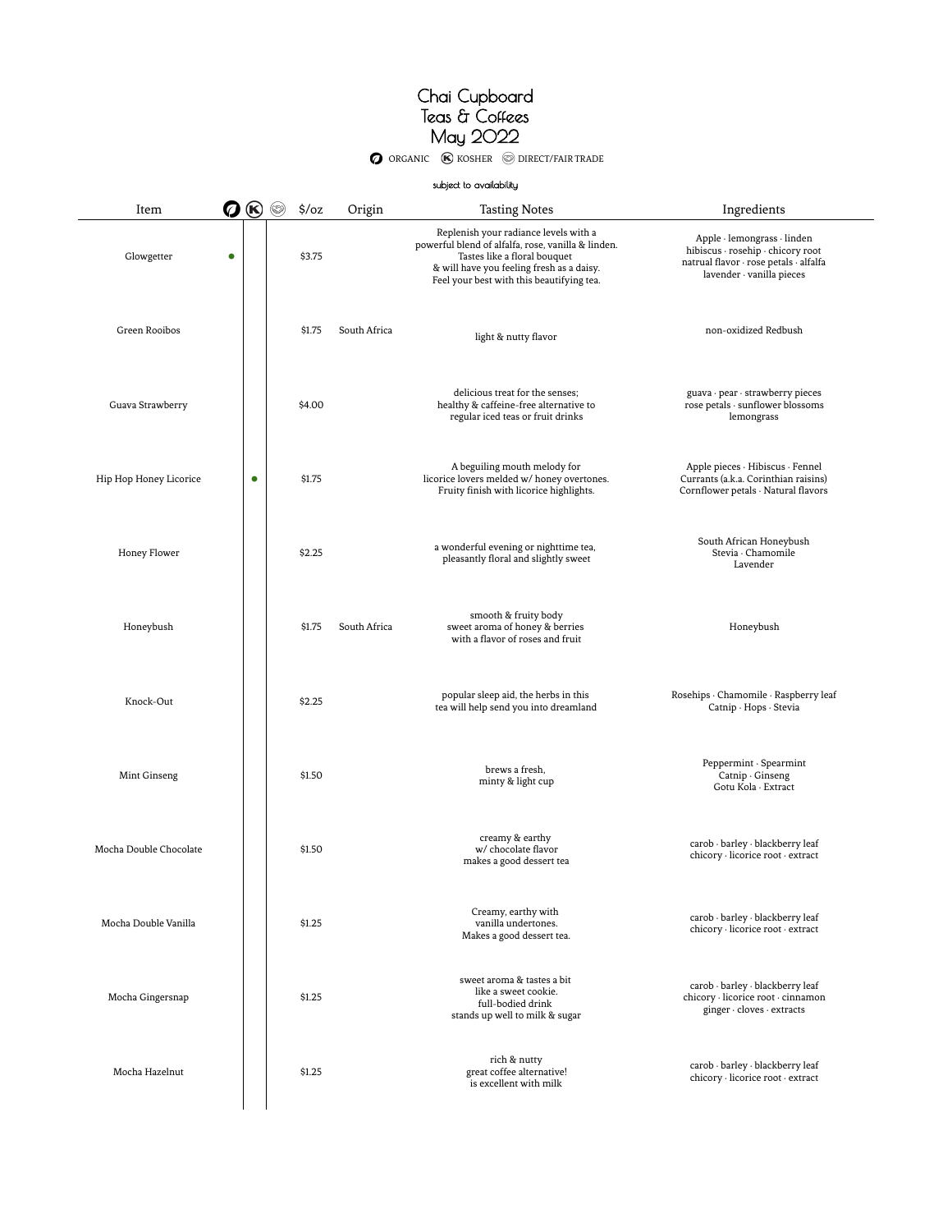O ORGANIC (K) KOSHER S DIRECT/FAIR TRADE

 $\overline{\phantom{0}}$ 

|                        |           |           |                        |              | subject to availability                                                                                                                                                                                               |                                                                                                                                         |
|------------------------|-----------|-----------|------------------------|--------------|-----------------------------------------------------------------------------------------------------------------------------------------------------------------------------------------------------------------------|-----------------------------------------------------------------------------------------------------------------------------------------|
| Item                   | の⑥        |           | $\frac{2}{3}$ /oz<br>❤ | Origin       | <b>Tasting Notes</b>                                                                                                                                                                                                  | Ingredients                                                                                                                             |
| Glowgetter             | $\bullet$ |           | \$3.75                 |              | Replenish your radiance levels with a<br>powerful blend of alfalfa, rose, vanilla & linden.<br>Tastes like a floral bouquet<br>& will have you feeling fresh as a daisy.<br>Feel your best with this beautifying tea. | Apple · lemongrass · linden<br>hibiscus · rosehip · chicory root<br>natrual flavor · rose petals · alfalfa<br>lavender · vanilla pieces |
| Green Rooibos          |           |           | \$1.75                 | South Africa | light & nutty flavor                                                                                                                                                                                                  | non-oxidized Redbush                                                                                                                    |
| Guava Strawberry       |           |           | \$4.00                 |              | delicious treat for the senses:<br>healthy & caffeine-free alternative to<br>regular iced teas or fruit drinks                                                                                                        | guava · pear · strawberry pieces<br>rose petals · sunflower blossoms<br>lemongrass                                                      |
| Hip Hop Honey Licorice |           | $\bullet$ | \$1.75                 |              | A beguiling mouth melody for<br>licorice lovers melded w/ honey overtones.<br>Fruity finish with licorice highlights.                                                                                                 | Apple pieces · Hibiscus · Fennel<br>Currants (a.k.a. Corinthian raisins)<br>Cornflower petals · Natural flavors                         |
| Honey Flower           |           |           | \$2.25                 |              | a wonderful evening or nighttime tea,<br>pleasantly floral and slightly sweet                                                                                                                                         | South African Honeybush<br>Stevia · Chamomile<br>Lavender                                                                               |
| Honeybush              |           |           | \$1.75                 | South Africa | smooth & fruity body<br>sweet aroma of honey & berries<br>with a flavor of roses and fruit                                                                                                                            | Honeybush                                                                                                                               |
| Knock-Out              |           |           | \$2.25                 |              | popular sleep aid, the herbs in this<br>tea will help send you into dreamland                                                                                                                                         | Rosehips · Chamomile · Raspberry leaf<br>Catnip · Hops · Stevia                                                                         |
| Mint Ginseng           |           |           | \$1.50                 |              | brews a fresh,<br>minty & light cup                                                                                                                                                                                   | Peppermint · Spearmint<br>Catnip Ginseng<br>Gotu Kola · Extract                                                                         |
| Mocha Double Chocolate |           |           | \$1.50                 |              | creamy & earthy<br>w/ chocolate flavor<br>makes a good dessert tea                                                                                                                                                    | carob · barley · blackberry leaf<br>chicory · licorice root · extract                                                                   |
| Mocha Double Vanilla   |           |           | \$1.25                 |              | Creamy, earthy with<br>vanilla undertones.<br>Makes a good dessert tea.                                                                                                                                               | carob · barley · blackberry leaf<br>chicory · licorice root · extract                                                                   |
| Mocha Gingersnap       |           |           | \$1.25                 |              | sweet aroma & tastes a bit<br>like a sweet cookie.<br>full-bodied drink<br>stands up well to milk & sugar                                                                                                             | carob · barley · blackberry leaf<br>chicory · licorice root · cinnamon<br>ginger · cloves · extracts                                    |
| Mocha Hazelnut         |           |           | \$1.25                 |              | rich & nutty<br>great coffee alternative!<br>is excellent with milk                                                                                                                                                   | carob · barley · blackberry leaf<br>chicory · licorice root · extract                                                                   |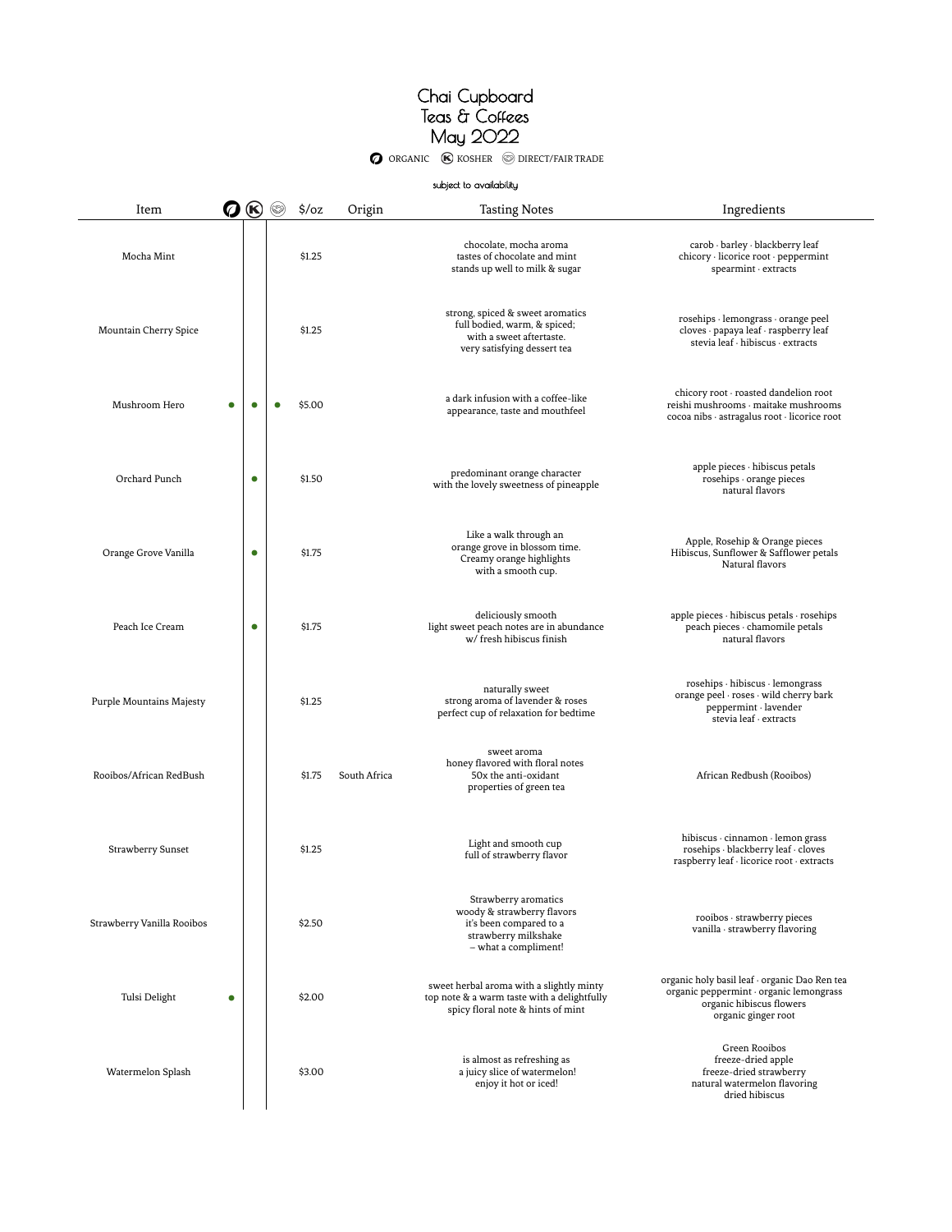O ORGANIC **(K)** KOSHER **O DIRECT/FAIR TRADE** 

#### subject to availability

| Item                       | Ø         | $\circledast$ | 63 | $\frac{1}{2}$ /oz | Origin       | <b>Tasting Notes</b>                                                                                                          | Ingredients                                                                                                                                 |
|----------------------------|-----------|---------------|----|-------------------|--------------|-------------------------------------------------------------------------------------------------------------------------------|---------------------------------------------------------------------------------------------------------------------------------------------|
| Mocha Mint                 |           |               |    | \$1.25            |              | chocolate, mocha aroma<br>tastes of chocolate and mint<br>stands up well to milk & sugar                                      | carob · barley · blackberry leaf<br>chicory · licorice root · peppermint<br>spearmint · extracts                                            |
| Mountain Cherry Spice      |           |               |    | \$1.25            |              | strong, spiced & sweet aromatics<br>full bodied, warm, & spiced;<br>with a sweet aftertaste.<br>very satisfying dessert tea   | rosehips · lemongrass · orange peel<br>cloves · papaya leaf · raspberry leaf<br>stevia leaf · hibiscus · extracts                           |
| Mushroom Hero              |           | ٠             |    | \$5.00            |              | a dark infusion with a coffee-like<br>appearance, taste and mouthfeel                                                         | chicory root · roasted dandelion root<br>reishi mushrooms · maitake mushrooms<br>cocoa nibs · astragalus root · licorice root               |
| Orchard Punch              |           | $\bullet$     |    | \$1.50            |              | predominant orange character<br>with the lovely sweetness of pineapple                                                        | $apple$ pieces $\cdot$ hibiscus petals<br>rosehips · orange pieces<br>natural flavors                                                       |
| Orange Grove Vanilla       |           | $\bullet$     |    | \$1.75            |              | Like a walk through an<br>orange grove in blossom time.<br>Creamy orange highlights<br>with a smooth cup.                     | Apple, Rosehip & Orange pieces<br>Hibiscus, Sunflower & Safflower petals<br>Natural flavors                                                 |
| Peach Ice Cream            |           | $\bullet$     |    | \$1.75            |              | deliciously smooth<br>light sweet peach notes are in abundance<br>w/ fresh hibiscus finish                                    | apple pieces · hibiscus petals · rosehips<br>peach pieces · chamomile petals<br>natural flavors                                             |
| Purple Mountains Majesty   |           |               |    | \$1.25            |              | naturally sweet<br>strong aroma of lavender & roses<br>perfect cup of relaxation for bedtime                                  | rosehips · hibiscus · lemongrass<br>orange peel · roses · wild cherry bark<br>peppermint · lavender<br>stevia leaf · extracts               |
| Rooibos/African RedBush    |           |               |    | \$1.75            | South Africa | sweet aroma<br>honey flavored with floral notes<br>50x the anti-oxidant<br>properties of green tea                            | African Redbush (Rooibos)                                                                                                                   |
| Strawberry Sunset          |           |               |    | \$1.25            |              | Light and smooth cup<br>full of strawberry flavor                                                                             | hibiscus · cinnamon · lemon grass<br>rosehips · blackberry leaf · cloves<br>raspberry leaf · licorice root · extracts                       |
| Strawberry Vanilla Rooibos |           |               |    | \$2.50            |              | Strawberry aromatics<br>woody & strawberry flavors<br>it's been compared to a<br>strawberry milkshake<br>- what a compliment! | rooibos · strawberry pieces<br>vanilla · strawberry flavoring                                                                               |
| Tulsi Delight              | $\bullet$ |               |    | \$2.00            |              | sweet herbal aroma with a slightly minty<br>top note & a warm taste with a delightfully<br>spicy floral note & hints of mint  | organic holy basil leaf · organic Dao Ren tea<br>organic peppermint · organic lemongrass<br>organic hibiscus flowers<br>organic ginger root |
| Watermelon Splash          |           |               |    | \$3.00            |              | is almost as refreshing as<br>a juicy slice of watermelon!<br>enjoy it hot or iced!                                           | Green Rooibos<br>freeze-dried apple<br>freeze-dried strawberry<br>natural watermelon flavoring<br>dried hibiscus                            |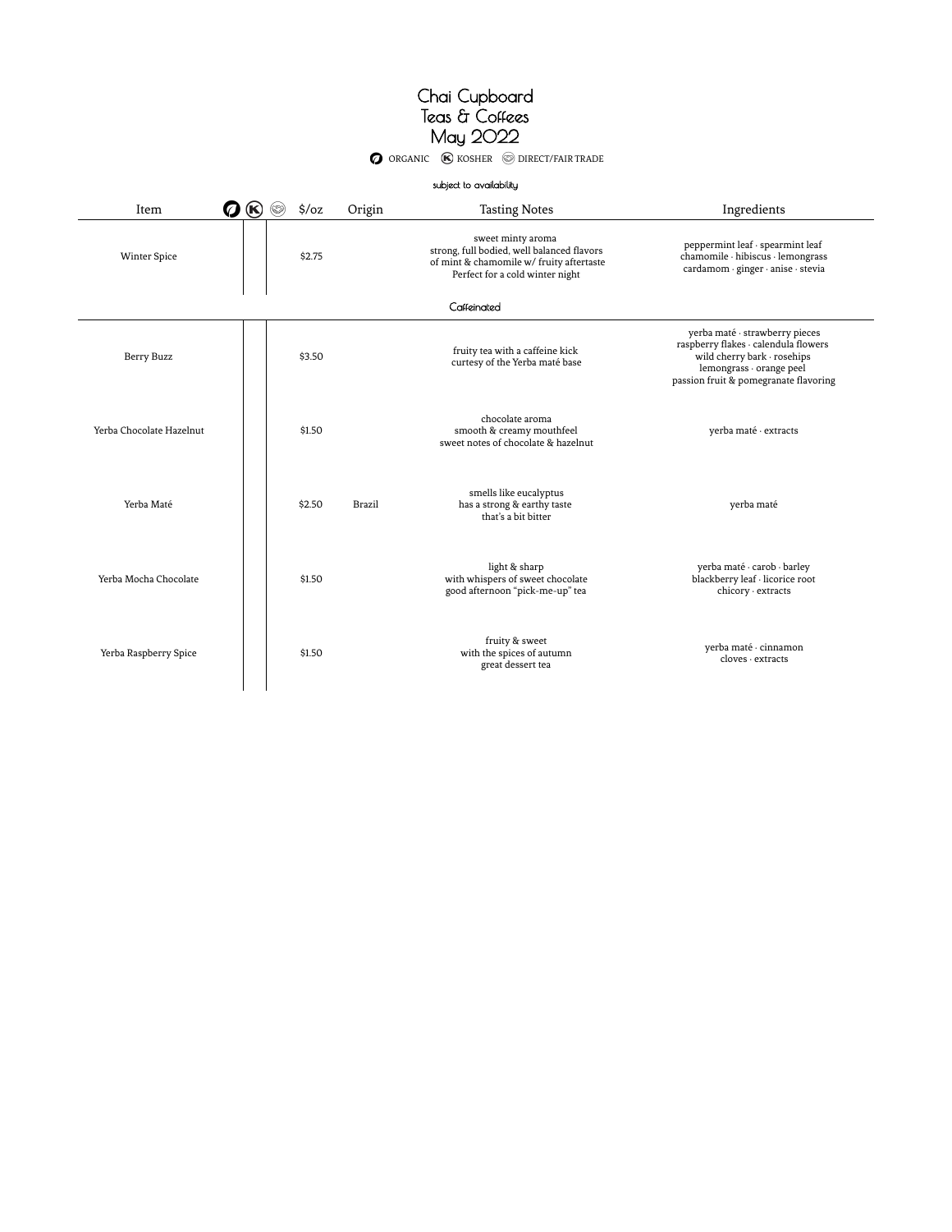O ORGANIC **(K)** KOSHER **O DIRECT/FAIR TRADE** 

|                            |                           |               | subject to availability                                                                                                                        |                                                                                                                                                                            |  |  |  |  |
|----------------------------|---------------------------|---------------|------------------------------------------------------------------------------------------------------------------------------------------------|----------------------------------------------------------------------------------------------------------------------------------------------------------------------------|--|--|--|--|
| Item<br>$\circledast$<br>Ø | $\frac{1}{2}$ /oz<br>(63) | Origin        | <b>Tasting Notes</b>                                                                                                                           | Ingredients                                                                                                                                                                |  |  |  |  |
| <b>Winter Spice</b>        | \$2.75                    |               | sweet minty aroma<br>strong, full bodied, well balanced flavors<br>of mint & chamomile w/ fruity aftertaste<br>Perfect for a cold winter night | peppermint leaf · spearmint leaf<br>chamomile · hibiscus · lemongrass<br>cardamom · ginger · anise · stevia                                                                |  |  |  |  |
| Caffeinated                |                           |               |                                                                                                                                                |                                                                                                                                                                            |  |  |  |  |
| Berry Buzz                 | \$3.50                    |               | fruity tea with a caffeine kick<br>curtesy of the Yerba maté base                                                                              | yerba maté · strawberry pieces<br>raspberry flakes · calendula flowers<br>wild cherry bark · rosehips<br>lemongrass · orange peel<br>passion fruit & pomegranate flavoring |  |  |  |  |
| Yerba Chocolate Hazelnut   | \$1.50                    |               | chocolate aroma<br>smooth & creamy mouthfeel<br>sweet notes of chocolate & hazelnut                                                            | yerba maté · extracts                                                                                                                                                      |  |  |  |  |
| Yerba Maté                 | \$2.50                    | <b>Brazil</b> | smells like eucalyptus<br>has a strong & earthy taste<br>that's a bit bitter                                                                   | yerba maté                                                                                                                                                                 |  |  |  |  |
| Yerba Mocha Chocolate      | \$1.50                    |               | light & sharp<br>with whispers of sweet chocolate<br>good afternoon "pick-me-up" tea                                                           | yerba maté · carob · barley<br>blackberry leaf · licorice root<br>chicory · extracts                                                                                       |  |  |  |  |
| Yerba Raspberry Spice      | \$1.50                    |               | fruity & sweet<br>with the spices of autumn<br>great dessert tea                                                                               | yerba maté · cinnamon<br>$c$ loves $\cdot$ extracts                                                                                                                        |  |  |  |  |